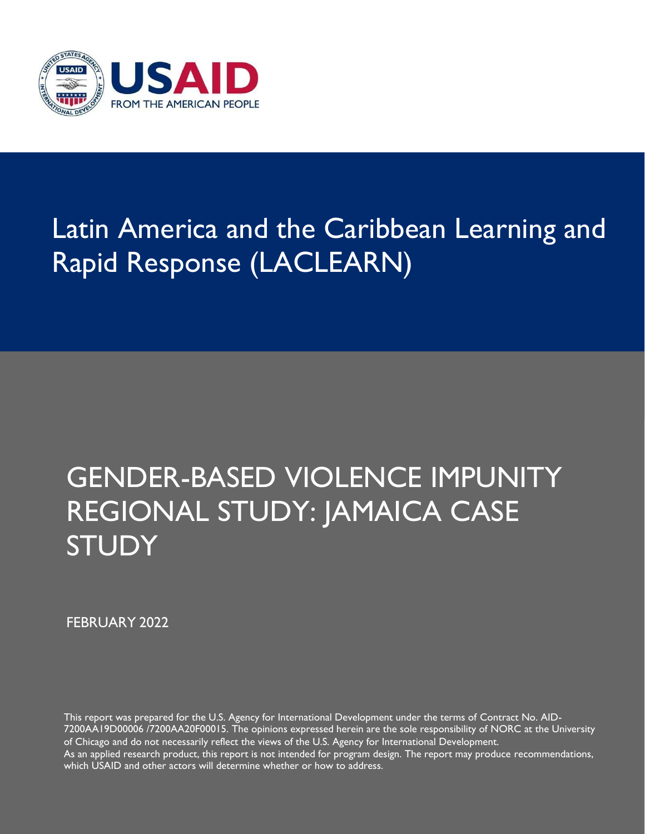

# Latin America and the Caribbean Learning and Rapid Response (LACLEARN)

# GENDER-BASED VIOLENCE IMPUNITY REGIONAL STUDY: JAMAICA CASE **STUDY**

FEBRUARY 2022

This report was prepared for the U.S. Agency for International Development under the terms of Contract No. AID-7200AA19D00006 /7200AA20F00015. The opinions expressed herein are the sole responsibility of NORC at the University of Chicago and do not necessarily reflect the views of the U.S. Agency for International Development. As an applied research product, this report is not intended for program design. The report may produce recommendations, which USAID and other actors will determine whether or how to address.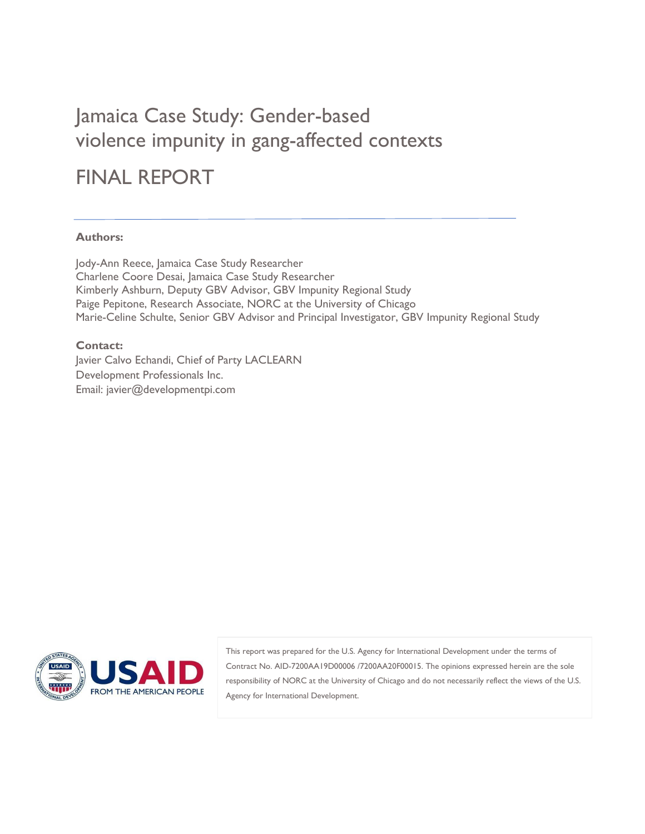# Jamaica Case Study: Gender-based violence impunity in gang-affected contexts FINAL REPORT

#### **Authors:**

Jody-Ann Reece, Jamaica Case Study Researcher Charlene Coore Desai, Jamaica Case Study Researcher Kimberly Ashburn, Deputy GBV Advisor, GBV Impunity Regional Study Paige Pepitone, Research Associate, NORC at the University of Chicago Marie-Celine Schulte, Senior GBV Advisor and Principal Investigator, GBV Impunity Regional Study

#### **Contact:**

Javier Calvo Echandi, Chief of Party LACLEARN Development Professionals Inc. Email: javier@developmentpi.com



This report was prepared for the U.S. Agency for International Development under the terms of Contract No. AID-7200AA19D00006 /7200AA20F00015. The opinions expressed herein are the sole responsibility of NORC at the University of Chicago and do not necessarily reflect the views of the U.S. Agency for International Development.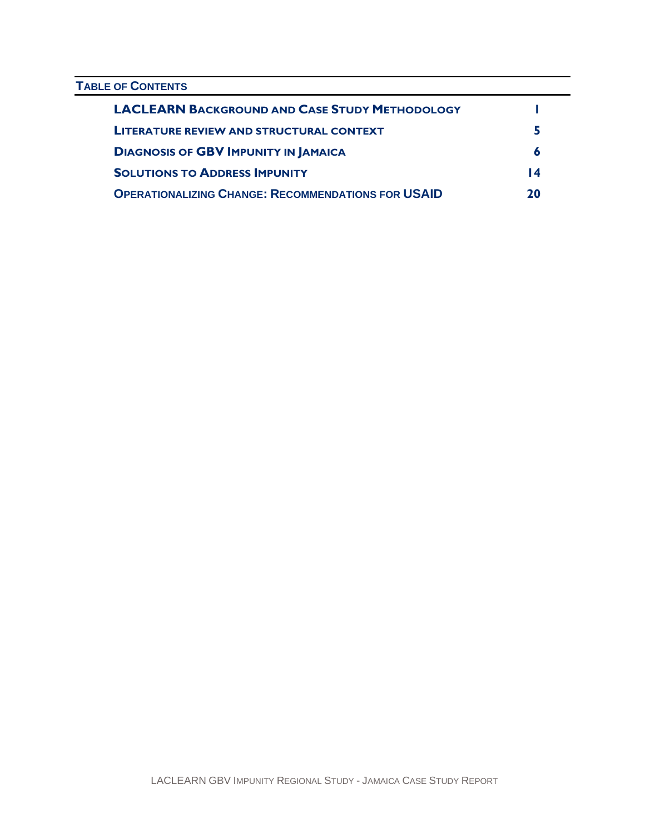# **TABLE OF CONTENTS**

| <b>LACLEARN BACKGROUND AND CASE STUDY METHODOLOGY</b>     |    |
|-----------------------------------------------------------|----|
| <b>LITERATURE REVIEW AND STRUCTURAL CONTEXT</b>           |    |
| <b>DIAGNOSIS OF GBV IMPUNITY IN JAMAICA</b>               |    |
| <b>SOLUTIONS TO ADDRESS IMPUNITY</b>                      | 14 |
| <b>OPERATIONALIZING CHANGE: RECOMMENDATIONS FOR USAID</b> | 20 |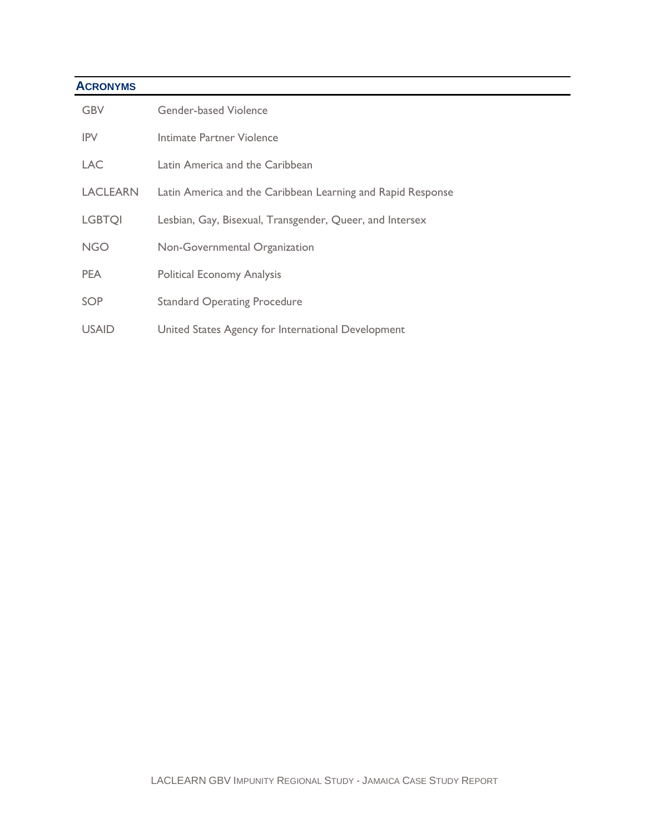#### **ACRONYMS**

| <b>GBV</b>      | Gender-based Violence                                       |
|-----------------|-------------------------------------------------------------|
| <b>IPV</b>      | Intimate Partner Violence                                   |
| <b>LAC</b>      | Latin America and the Caribbean                             |
| <b>LACLEARN</b> | Latin America and the Caribbean Learning and Rapid Response |
| <b>LGBTQI</b>   | Lesbian, Gay, Bisexual, Transgender, Queer, and Intersex    |
| <b>NGO</b>      | Non-Governmental Organization                               |
| <b>PEA</b>      | <b>Political Economy Analysis</b>                           |
| SOP             | <b>Standard Operating Procedure</b>                         |
| <b>USAID</b>    | United States Agency for International Development          |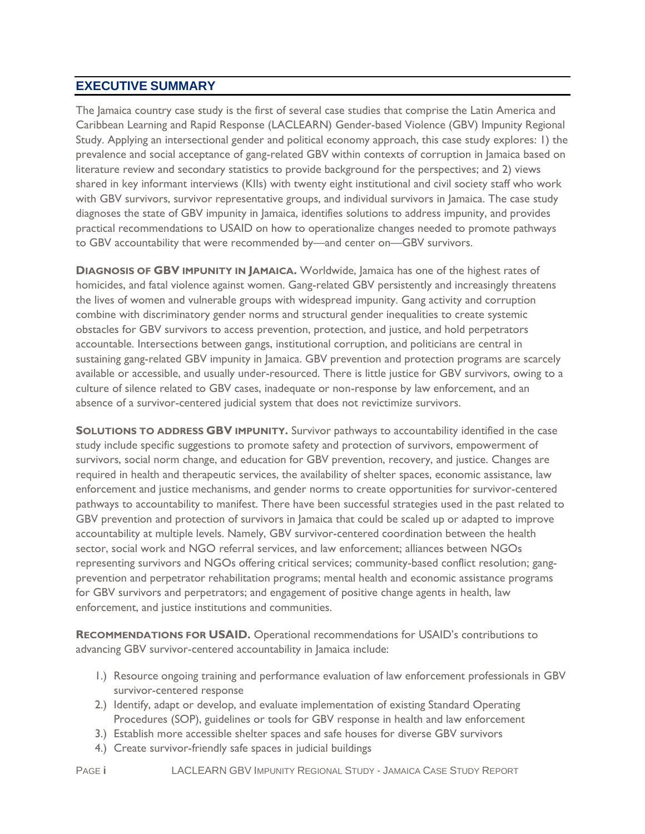# **EXECUTIVE SUMMARY**

The Jamaica country case study is the first of several case studies that comprise the Latin America and Caribbean Learning and Rapid Response (LACLEARN) Gender-based Violence (GBV) Impunity Regional Study. Applying an intersectional gender and political economy approach, this case study explores: 1) the prevalence and social acceptance of gang-related GBV within contexts of corruption in Jamaica based on literature review and secondary statistics to provide background for the perspectives; and 2) views shared in key informant interviews (KIIs) with twenty eight institutional and civil society staff who work with GBV survivors, survivor representative groups, and individual survivors in Jamaica. The case study diagnoses the state of GBV impunity in Jamaica, identifies solutions to address impunity, and provides practical recommendations to USAID on how to operationalize changes needed to promote pathways to GBV accountability that were recommended by—and center on—GBV survivors.

**DIAGNOSIS OF GBV IMPUNITY IN JAMAICA.** Worldwide, Jamaica has one of the highest rates of homicides, and fatal violence against women. Gang-related GBV persistently and increasingly threatens the lives of women and vulnerable groups with widespread impunity. Gang activity and corruption combine with discriminatory gender norms and structural gender inequalities to create systemic obstacles for GBV survivors to access prevention, protection, and justice, and hold perpetrators accountable. Intersections between gangs, institutional corruption, and politicians are central in sustaining gang-related GBV impunity in Jamaica. GBV prevention and protection programs are scarcely available or accessible, and usually under-resourced. There is little justice for GBV survivors, owing to a culture of silence related to GBV cases, inadequate or non-response by law enforcement, and an absence of a survivor-centered judicial system that does not revictimize survivors.

**SOLUTIONS TO ADDRESS GBV IMPUNITY.** Survivor pathways to accountability identified in the case study include specific suggestions to promote safety and protection of survivors, empowerment of survivors, social norm change, and education for GBV prevention, recovery, and justice. Changes are required in health and therapeutic services, the availability of shelter spaces, economic assistance, law enforcement and justice mechanisms, and gender norms to create opportunities for survivor-centered pathways to accountability to manifest. There have been successful strategies used in the past related to GBV prevention and protection of survivors in Jamaica that could be scaled up or adapted to improve accountability at multiple levels. Namely, GBV survivor-centered coordination between the health sector, social work and NGO referral services, and law enforcement; alliances between NGOs representing survivors and NGOs offering critical services; community-based conflict resolution; gangprevention and perpetrator rehabilitation programs; mental health and economic assistance programs for GBV survivors and perpetrators; and engagement of positive change agents in health, law enforcement, and justice institutions and communities.

**RECOMMENDATIONS FOR USAID.** Operational recommendations for USAID's contributions to advancing GBV survivor-centered accountability in Jamaica include:

- 1.) Resource ongoing training and performance evaluation of law enforcement professionals in GBV survivor-centered response
- 2.) Identify, adapt or develop, and evaluate implementation of existing Standard Operating Procedures (SOP), guidelines or tools for GBV response in health and law enforcement
- 3.) Establish more accessible shelter spaces and safe houses for diverse GBV survivors
- 4.) Create survivor-friendly safe spaces in judicial buildings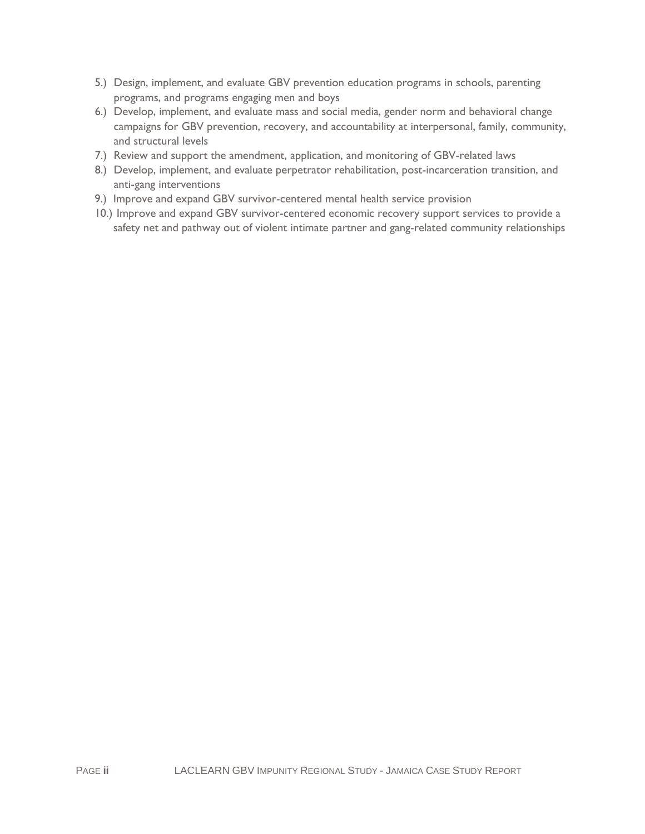- 5.) Design, implement, and evaluate GBV prevention education programs in schools, parenting programs, and programs engaging men and boys
- 6.) Develop, implement, and evaluate mass and social media, gender norm and behavioral change campaigns for GBV prevention, recovery, and accountability at interpersonal, family, community, and structural levels
- 7.) Review and support the amendment, application, and monitoring of GBV-related laws
- 8.) Develop, implement, and evaluate perpetrator rehabilitation, post-incarceration transition, and anti-gang interventions
- 9.) Improve and expand GBV survivor-centered mental health service provision
- 10.) Improve and expand GBV survivor-centered economic recovery support services to provide a safety net and pathway out of violent intimate partner and gang-related community relationships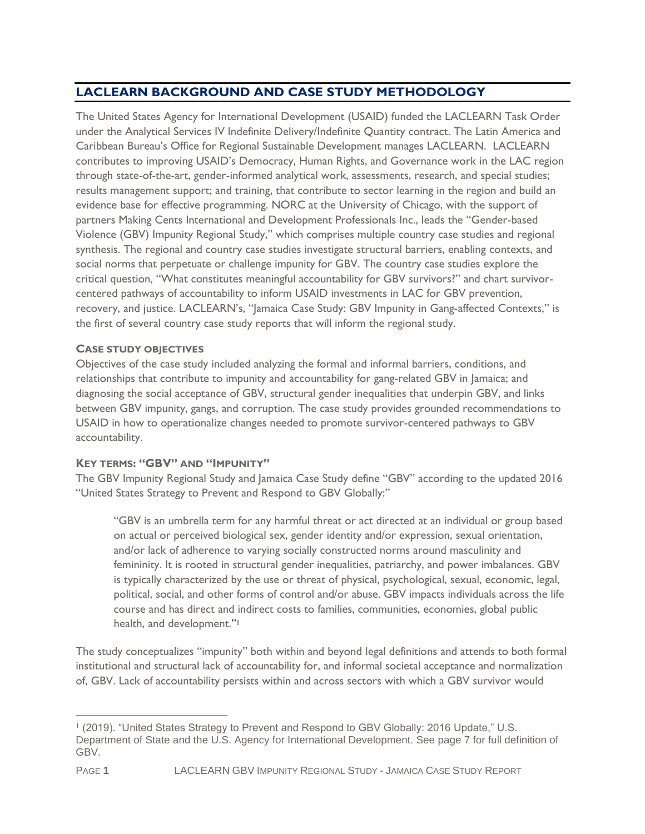# <span id="page-6-0"></span>**LACLEARN BACKGROUND AND CASE STUDY METHODOLOGY**

The United States Agency for International Development (USAID) funded the LACLEARN Task Order under the Analytical Services IV Indefinite Delivery/Indefinite Quantity contract. The Latin America and Caribbean Bureau's Office for Regional Sustainable Development manages LACLEARN. LACLEARN contributes to improving USAID's Democracy, Human Rights, and Governance work in the LAC region through state-of-the-art, gender-informed analytical work, assessments, research, and special studies; results management support; and training, that contribute to sector learning in the region and build an evidence base for effective programming. NORC at the University of Chicago, with the support of partners Making Cents International and Development Professionals Inc., leads the "Gender-based Violence (GBV) Impunity Regional Study," which comprises multiple country case studies and regional synthesis. The regional and country case studies investigate structural barriers, enabling contexts, and social norms that perpetuate or challenge impunity for GBV. The country case studies explore the critical question, "What constitutes meaningful accountability for GBV survivors?" and chart survivorcentered pathways of accountability to inform USAID investments in LAC for GBV prevention, recovery, and justice. LACLEARN's, "Jamaica Case Study: GBV Impunity in Gang-affected Contexts," is the first of several country case study reports that will inform the regional study.

#### **CASE STUDY OBJECTIVES**

Objectives of the case study included analyzing the formal and informal barriers, conditions, and relationships that contribute to impunity and accountability for gang-related GBV in Jamaica; and diagnosing the social acceptance of GBV, structural gender inequalities that underpin GBV, and links between GBV impunity, gangs, and corruption. The case study provides grounded recommendations to USAID in how to operationalize changes needed to promote survivor-centered pathways to GBV accountability.

## **KEY TERMS: "GBV" AND "IMPUNITY"**

The GBV Impunity Regional Study and Jamaica Case Study define "GBV" according to the updated 2016 "United States Strategy to Prevent and Respond to GBV Globally:"

"GBV is an umbrella term for any harmful threat or act directed at an individual or group based on actual or perceived biological sex, gender identity and/or expression, sexual orientation, and/or lack of adherence to varying socially constructed norms around masculinity and femininity. It is rooted in structural gender inequalities, patriarchy, and power imbalances. GBV is typically characterized by the use or threat of physical, psychological, sexual, economic, legal, political, social, and other forms of control and/or abuse. GBV impacts individuals across the life course and has direct and indirect costs to families, communities, economies, global public health, and development."<sup>1</sup>

The study conceptualizes "impunity" both within and beyond legal definitions and attends to both formal institutional and structural lack of accountability for, and informal societal acceptance and normalization of, GBV. Lack of accountability persists within and across sectors with which a GBV survivor would

<sup>1</sup> (2019). "United States Strategy to Prevent and Respond to GBV Globally: 2016 Update," U.S. Department of State and the U.S. Agency for International Development. See page 7 for full definition of GBV.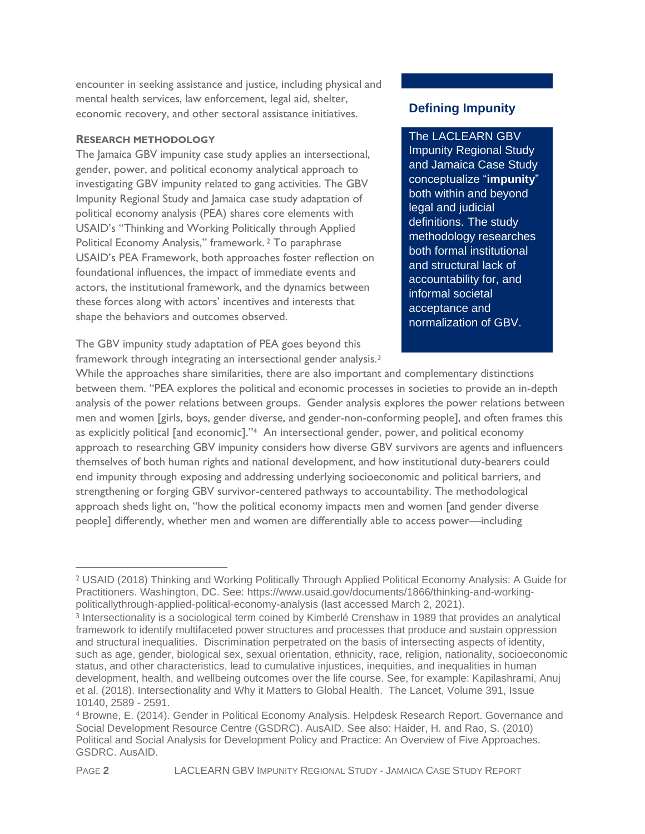encounter in seeking assistance and justice, including physical and mental health services, law enforcement, legal aid, shelter, economic recovery, and other sectoral assistance initiatives.

#### **RESEARCH METHODOLOGY**

The Jamaica GBV impunity case study applies an intersectional, gender, power, and political economy analytical approach to investigating GBV impunity related to gang activities. The GBV Impunity Regional Study and Jamaica case study adaptation of political economy analysis (PEA) shares core elements with USAID's "Thinking and Working Politically through Applied Political Economy Analysis," framework. <sup>2</sup> To paraphrase USAID's PEA Framework, both approaches foster reflection on foundational influences, the impact of immediate events and actors, the institutional framework, and the dynamics between these forces along with actors' incentives and interests that shape the behaviors and outcomes observed.

The GBV impunity study adaptation of PEA goes beyond this framework through integrating an intersectional gender analysis.<sup>3</sup>

#### **Defining Impunity**

#### The LACLEARN GBV

Impunity Regional Study and Jamaica Case Study conceptualize "**impunity**" both within and beyond legal and judicial definitions. The study methodology researches both formal institutional and structural lack of accountability for, and informal societal acceptance and normalization of GBV.

While the approaches share similarities, there are also important and complementary distinctions between them. "PEA explores the political and economic processes in societies to provide an in-depth analysis of the power relations between groups. Gender analysis explores the power relations between men and women [girls, boys, gender diverse, and gender-non-conforming people], and often frames this as explicitly political [and economic]."4 An intersectional gender, power, and political economy approach to researching GBV impunity considers how diverse GBV survivors are agents and influencers themselves of both human rights and national development, and how institutional duty-bearers could end impunity through exposing and addressing underlying socioeconomic and political barriers, and strengthening or forging GBV survivor-centered pathways to accountability. The methodological approach sheds light on, "how the political economy impacts men and women [and gender diverse people] differently, whether men and women are differentially able to access power—including

<sup>2</sup> USAID (2018) Thinking and Working Politically Through Applied Political Economy Analysis: A Guide for Practitioners. Washington, DC. See: https://www.usaid.gov/documents/1866/thinking-and-workingpoliticallythrough-applied-political-economy-analysis (last accessed March 2, 2021).

<sup>3</sup> Intersectionality is a sociological term coined by Kimberlé Crenshaw in 1989 that provides an analytical framework to identify multifaceted power structures and processes that produce and sustain oppression and structural inequalities. Discrimination perpetrated on the basis of intersecting aspects of identity, such as age, gender, biological sex, sexual orientation, ethnicity, race, religion, nationality, socioeconomic status, and other characteristics, lead to cumulative injustices, inequities, and inequalities in human development, health, and wellbeing outcomes over the life course. See, for example: Kapilashrami, Anuj et al. (2018). Intersectionality and Why it Matters to Global Health. The Lancet, Volume 391, Issue 10140, 2589 - 2591.

<sup>4</sup> Browne, E. (2014). Gender in Political Economy Analysis. Helpdesk Research Report. Governance and Social Development Resource Centre (GSDRC). AusAID. See also: Haider, H. and Rao, S. (2010) Political and Social Analysis for Development Policy and Practice: An Overview of Five Approaches. GSDRC. AusAID.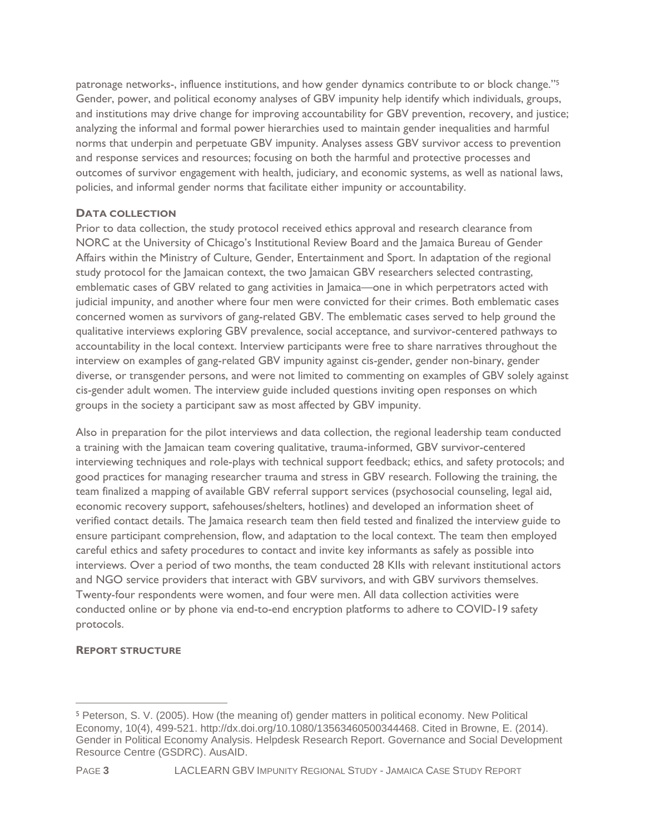patronage networks-, influence institutions, and how gender dynamics contribute to or block change."<sup>5</sup> Gender, power, and political economy analyses of GBV impunity help identify which individuals, groups, and institutions may drive change for improving accountability for GBV prevention, recovery, and justice; analyzing the informal and formal power hierarchies used to maintain gender inequalities and harmful norms that underpin and perpetuate GBV impunity. Analyses assess GBV survivor access to prevention and response services and resources; focusing on both the harmful and protective processes and outcomes of survivor engagement with health, judiciary, and economic systems, as well as national laws, policies, and informal gender norms that facilitate either impunity or accountability.

#### **DATA COLLECTION**

Prior to data collection, the study protocol received ethics approval and research clearance from NORC at the University of Chicago's Institutional Review Board and the Jamaica Bureau of Gender Affairs within the Ministry of Culture, Gender, Entertainment and Sport. In adaptation of the regional study protocol for the Jamaican context, the two Jamaican GBV researchers selected contrasting, emblematic cases of GBV related to gang activities in Jamaica—one in which perpetrators acted with judicial impunity, and another where four men were convicted for their crimes. Both emblematic cases concerned women as survivors of gang-related GBV. The emblematic cases served to help ground the qualitative interviews exploring GBV prevalence, social acceptance, and survivor-centered pathways to accountability in the local context. Interview participants were free to share narratives throughout the interview on examples of gang-related GBV impunity against cis-gender, gender non-binary, gender diverse, or transgender persons, and were not limited to commenting on examples of GBV solely against cis-gender adult women. The interview guide included questions inviting open responses on which groups in the society a participant saw as most affected by GBV impunity.

Also in preparation for the pilot interviews and data collection, the regional leadership team conducted a training with the Jamaican team covering qualitative, trauma-informed, GBV survivor-centered interviewing techniques and role-plays with technical support feedback; ethics, and safety protocols; and good practices for managing researcher trauma and stress in GBV research. Following the training, the team finalized a mapping of available GBV referral support services (psychosocial counseling, legal aid, economic recovery support, safehouses/shelters, hotlines) and developed an information sheet of verified contact details. The Jamaica research team then field tested and finalized the interview guide to ensure participant comprehension, flow, and adaptation to the local context. The team then employed careful ethics and safety procedures to contact and invite key informants as safely as possible into interviews. Over a period of two months, the team conducted 28 KIIs with relevant institutional actors and NGO service providers that interact with GBV survivors, and with GBV survivors themselves. Twenty-four respondents were women, and four were men. All data collection activities were conducted online or by phone via end-to-end encryption platforms to adhere to COVID-19 safety protocols.

#### **REPORT STRUCTURE**

<sup>5</sup> Peterson, S. V. (2005). How (the meaning of) gender matters in political economy. New Political Economy, 10(4), 499-521. http://dx.doi.org/10.1080/13563460500344468. Cited in Browne, E. (2014). Gender in Political Economy Analysis. Helpdesk Research Report. Governance and Social Development Resource Centre (GSDRC). AusAID.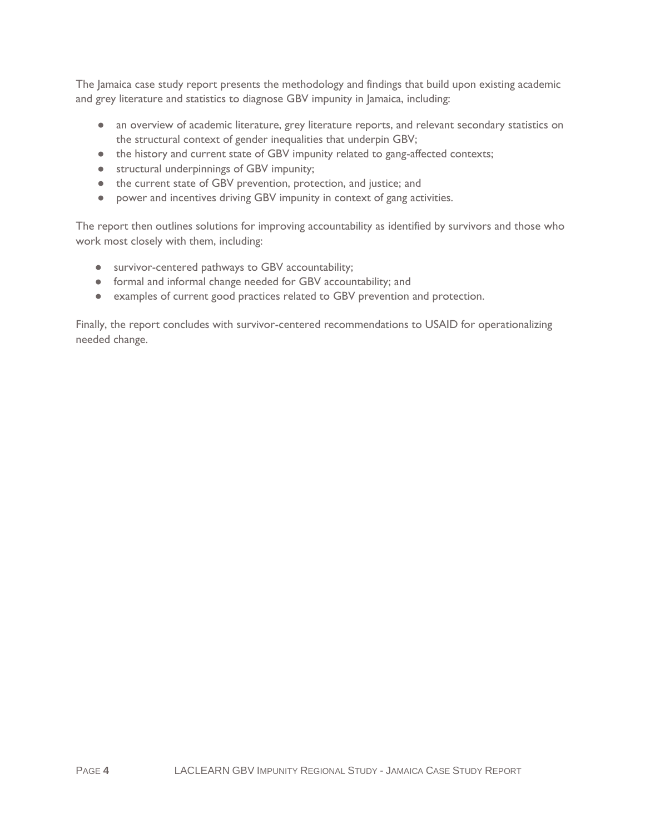The Jamaica case study report presents the methodology and findings that build upon existing academic and grey literature and statistics to diagnose GBV impunity in Jamaica, including:

- an overview of academic literature, grey literature reports, and relevant secondary statistics on the structural context of gender inequalities that underpin GBV;
- the history and current state of GBV impunity related to gang-affected contexts;
- structural underpinnings of GBV impunity;
- the current state of GBV prevention, protection, and justice; and
- power and incentives driving GBV impunity in context of gang activities.

The report then outlines solutions for improving accountability as identified by survivors and those who work most closely with them, including:

- survivor-centered pathways to GBV accountability;
- formal and informal change needed for GBV accountability; and
- examples of current good practices related to GBV prevention and protection.

Finally, the report concludes with survivor-centered recommendations to USAID for operationalizing needed change.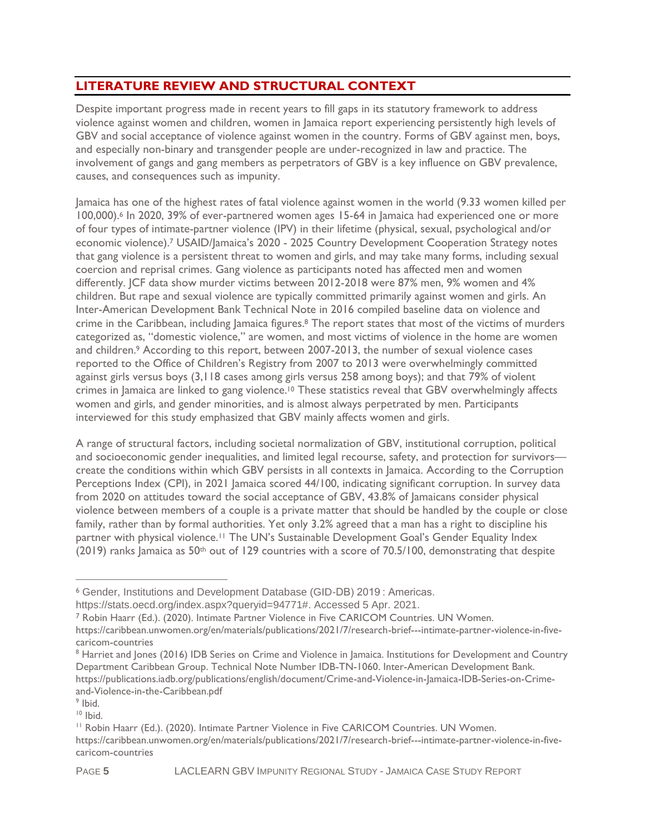# <span id="page-10-0"></span>**LITERATURE REVIEW AND STRUCTURAL CONTEXT**

Despite important progress made in recent years to fill gaps in its statutory framework to address violence against women and children, women in Jamaica report experiencing persistently high levels of GBV and social acceptance of violence against women in the country. Forms of GBV against men, boys, and especially non-binary and transgender people are under-recognized in law and practice. The involvement of gangs and gang members as perpetrators of GBV is a key influence on GBV prevalence, causes, and consequences such as impunity.

Jamaica has one of the highest rates of fatal violence against women in the world (9.33 women killed per 100,000).<sup>6</sup> In 2020, 39% of ever-partnered women ages 15-64 in Jamaica had experienced one or more of four types of intimate-partner violence (IPV) in their lifetime (physical, sexual, psychological and/or economic violence).<sup>7</sup> USAID/Jamaica's 2020 - 2025 Country Development Cooperation Strategy notes that gang violence is a persistent threat to women and girls, and may take many forms, including sexual coercion and reprisal crimes. Gang violence as participants noted has affected men and women differently. JCF data show murder victims between 2012-2018 were 87% men, 9% women and 4% children. But rape and sexual violence are typically committed primarily against women and girls. An Inter-American Development Bank Technical Note in 2016 compiled baseline data on violence and crime in the Caribbean, including Jamaica figures.<sup>8</sup> The report states that most of the victims of murders categorized as, "domestic violence," are women, and most victims of violence in the home are women and children.<sup>9</sup> According to this report, between 2007-2013, the number of sexual violence cases reported to the Office of Children's Registry from 2007 to 2013 were overwhelmingly committed against girls versus boys (3,118 cases among girls versus 258 among boys); and that 79% of violent crimes in Jamaica are linked to gang violence.<sup>10</sup> These statistics reveal that GBV overwhelmingly affects women and girls, and gender minorities, and is almost always perpetrated by men. Participants interviewed for this study emphasized that GBV mainly affects women and girls.

A range of structural factors, including societal normalization of GBV, institutional corruption, political and socioeconomic gender inequalities, and limited legal recourse, safety, and protection for survivors create the conditions within which GBV persists in all contexts in Jamaica. According to the Corruption Perceptions Index (CPI), in 2021 Jamaica scored 44/100, indicating significant corruption. In survey data from 2020 on attitudes toward the social acceptance of GBV, 43.8% of Jamaicans consider physical violence between members of a couple is a private matter that should be handled by the couple or close family, rather than by formal authorities. Yet only 3.2% agreed that a man has a right to discipline his partner with physical violence.<sup>11</sup> The UN's Sustainable Development Goal's Gender Equality Index  $(2019)$  ranks Jamaica as 50<sup>th</sup> out of 129 countries with a score of 70.5/100, demonstrating that despite

<sup>6</sup> Gender, Institutions and Development Database (GID-DB) 2019 : Americas.

https://stats.oecd.org/index.aspx?queryid=94771#. Accessed 5 Apr. 2021.

<sup>7</sup> Robin Haarr (Ed.). (2020). Intimate Partner Violence in Five CARICOM Countries. UN Women.

https://caribbean.unwomen.org/en/materials/publications/2021/7/research-brief---intimate-partner-violence-in-fivecaricom-countries

<sup>&</sup>lt;sup>8</sup> Harriet and Jones (2016) IDB Series on Crime and Violence in Jamaica. Institutions for Development and Country Department Caribbean Group. Technical Note Number IDB-TN-1060. Inter-American Development Bank. https://publications.iadb.org/publications/english/document/Crime-and-Violence-in-Jamaica-IDB-Series-on-Crimeand-Violence-in-the-Caribbean.pdf

<sup>&</sup>lt;sup>9</sup> Ibid.

<sup>10</sup> Ibid.

<sup>&</sup>lt;sup>11</sup> Robin Haarr (Ed.). (2020). Intimate Partner Violence in Five CARICOM Countries. UN Women. https://caribbean.unwomen.org/en/materials/publications/2021/7/research-brief---intimate-partner-violence-in-fivecaricom-countries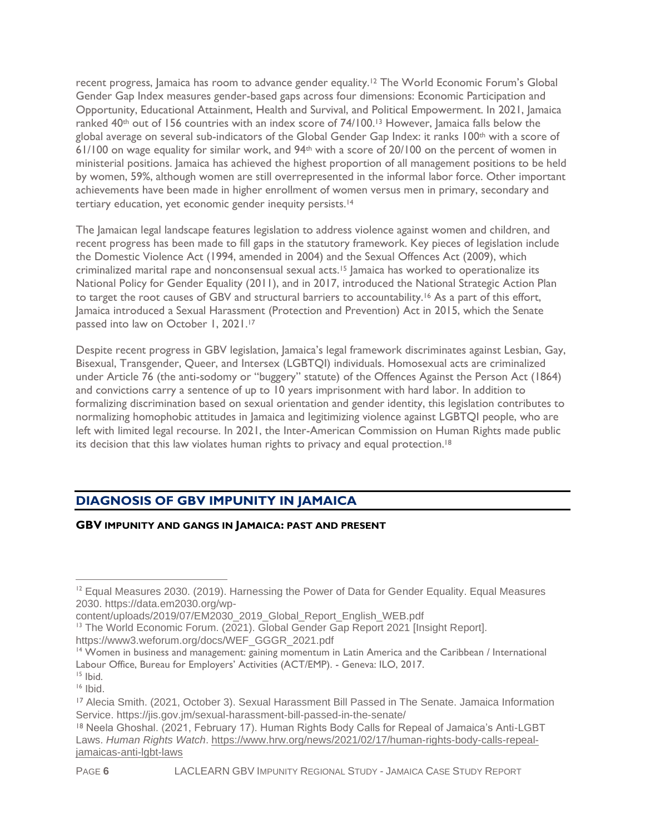recent progress, Jamaica has room to advance gender equality.<sup>12</sup> The World Economic Forum's Global Gender Gap Index measures gender-based gaps across four dimensions: Economic Participation and Opportunity, Educational Attainment, Health and Survival, and Political Empowerment. In 2021, Jamaica ranked 40<sup>th</sup> out of 156 countries with an index score of 74/100.<sup>13</sup> However, Jamaica falls below the global average on several sub-indicators of the Global Gender Gap Index: it ranks 100th with a score of 61/100 on wage equality for similar work, and 94th with a score of 20/100 on the percent of women in ministerial positions. Jamaica has achieved the highest proportion of all management positions to be held by women, 59%, although women are still overrepresented in the informal labor force. Other important achievements have been made in higher enrollment of women versus men in primary, secondary and tertiary education, yet economic gender inequity persists.<sup>14</sup>

The Jamaican legal landscape features legislation to address violence against women and children, and recent progress has been made to fill gaps in the statutory framework. Key pieces of legislation include the Domestic Violence Act (1994, amended in 2004) and the Sexual Offences Act (2009), which criminalized marital rape and nonconsensual sexual acts.<sup>15</sup> Jamaica has worked to operationalize its National Policy for Gender Equality (2011), and in 2017, introduced the National Strategic Action Plan to target the root causes of GBV and structural barriers to accountability.<sup>16</sup> As a part of this effort, Jamaica introduced a Sexual Harassment (Protection and Prevention) Act in 2015, which the Senate passed into law on October 1, 2021.<sup>17</sup>

Despite recent progress in GBV legislation, Jamaica's legal framework discriminates against Lesbian, Gay, Bisexual, Transgender, Queer, and Intersex (LGBTQI) individuals. Homosexual acts are criminalized under Article 76 (the anti-sodomy or "buggery" statute) of the Offences Against the Person Act (1864) and convictions carry a sentence of up to 10 years imprisonment with hard labor. In addition to formalizing discrimination based on sexual orientation and gender identity, this legislation contributes to normalizing homophobic attitudes in Jamaica and legitimizing violence against LGBTQI people, who are left with limited legal recourse. In 2021, the Inter-American Commission on Human Rights made public its decision that this law violates human rights to privacy and equal protection.<sup>18</sup>

# <span id="page-11-0"></span>**DIAGNOSIS OF GBV IMPUNITY IN JAMAICA**

**GBV IMPUNITY AND GANGS IN JAMAICA: PAST AND PRESENT**

<sup>&</sup>lt;sup>12</sup> Equal Measures 2030. (2019). Harnessing the Power of Data for Gender Equality. Equal Measures 2030. https://data.em2030.org/wp-

content/uploads/2019/07/EM2030\_2019\_Global\_Report\_English\_WEB.pdf

<sup>&</sup>lt;sup>13</sup> The World Economic Forum. (2021). Global Gender Gap Report 2021 [Insight Report]. https://www3.weforum.org/docs/WEF\_GGGR\_2021.pdf

<sup>&</sup>lt;sup>14</sup> Women in business and management: gaining momentum in Latin America and the Caribbean / International Labour Office, Bureau for Employers' Activities (ACT/EMP). - Geneva: ILO, 2017.

 $15$  Ibid.

<sup>16</sup> Ibid.

<sup>17</sup> Alecia Smith. (2021, October 3). Sexual Harassment Bill Passed in The Senate. Jamaica Information Service. https://jis.gov.jm/sexual-harassment-bill-passed-in-the-senate/

<sup>18</sup> Neela Ghoshal. (2021, February 17). Human Rights Body Calls for Repeal of Jamaica's Anti-LGBT Laws. *Human Rights Watch*. https://www.hrw.org/news/2021/02/17/human-rights-body-calls-repealjamaicas-anti-lgbt-laws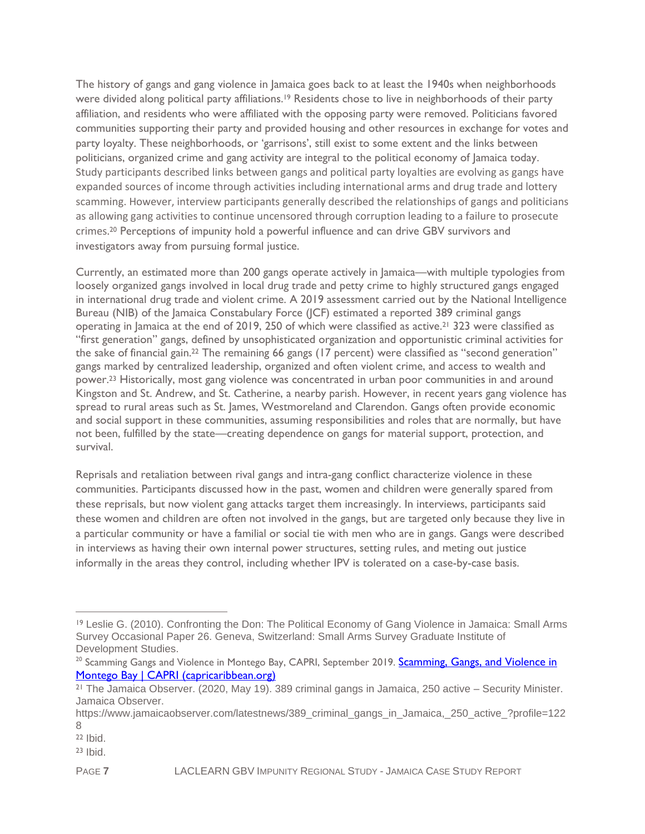The history of gangs and gang violence in Jamaica goes back to at least the 1940s when neighborhoods were divided along political party affiliations.<sup>19</sup> Residents chose to live in neighborhoods of their party affiliation, and residents who were affiliated with the opposing party were removed. Politicians favored communities supporting their party and provided housing and other resources in exchange for votes and party loyalty. These neighborhoods, or 'garrisons', still exist to some extent and the links between politicians, organized crime and gang activity are integral to the political economy of Jamaica today. Study participants described links between gangs and political party loyalties are evolving as gangs have expanded sources of income through activities including international arms and drug trade and lottery scamming. However, interview participants generally described the relationships of gangs and politicians as allowing gang activities to continue uncensored through corruption leading to a failure to prosecute crimes. <sup>20</sup> Perceptions of impunity hold a powerful influence and can drive GBV survivors and investigators away from pursuing formal justice.

Currently, an estimated more than 200 gangs operate actively in Jamaica—with multiple typologies from loosely organized gangs involved in local drug trade and petty crime to highly structured gangs engaged in international drug trade and violent crime. A 2019 assessment carried out by the National Intelligence Bureau (NIB) of the Jamaica Constabulary Force (JCF) estimated a reported 389 criminal gangs operating in Jamaica at the end of 2019, 250 of which were classified as active.<sup>21</sup> 323 were classified as "first generation" gangs, defined by unsophisticated organization and opportunistic criminal activities for the sake of financial gain.<sup>22</sup> The remaining 66 gangs (17 percent) were classified as "second generation" gangs marked by centralized leadership, organized and often violent crime, and access to wealth and power.<sup>23</sup> Historically, most gang violence was concentrated in urban poor communities in and around Kingston and St. Andrew, and St. Catherine, a nearby parish. However, in recent years gang violence has spread to rural areas such as St. James, Westmoreland and Clarendon. Gangs often provide economic and social support in these communities, assuming responsibilities and roles that are normally, but have not been, fulfilled by the state—creating dependence on gangs for material support, protection, and survival.

Reprisals and retaliation between rival gangs and intra-gang conflict characterize violence in these communities. Participants discussed how in the past, women and children were generally spared from these reprisals, but now violent gang attacks target them increasingly. In interviews, participants said these women and children are often not involved in the gangs, but are targeted only because they live in a particular community or have a familial or social tie with men who are in gangs. Gangs were described in interviews as having their own internal power structures, setting rules, and meting out justice informally in the areas they control, including whether IPV is tolerated on a case-by-case basis.

<sup>19</sup> Leslie G. (2010). Confronting the Don: The Political Economy of Gang Violence in Jamaica: Small Arms Survey Occasional Paper 26. Geneva, Switzerland: Small Arms Survey Graduate Institute of Development Studies.

<sup>&</sup>lt;sup>20</sup> Scamming Gangs and Violence in Montego Bay, CAPRI, September 2019. **Scamming, Gangs, and Violence in** Montego Bay | CAPRI (capricaribbean.org)

<sup>21</sup> The Jamaica Observer. (2020, May 19). 389 criminal gangs in Jamaica, 250 active – Security Minister. Jamaica Observer.

https://www.jamaicaobserver.com/latestnews/389 criminal gangs in Jamaica, 250 active ?profile=122 8

<sup>22</sup> Ibid.

<sup>23</sup> Ibid.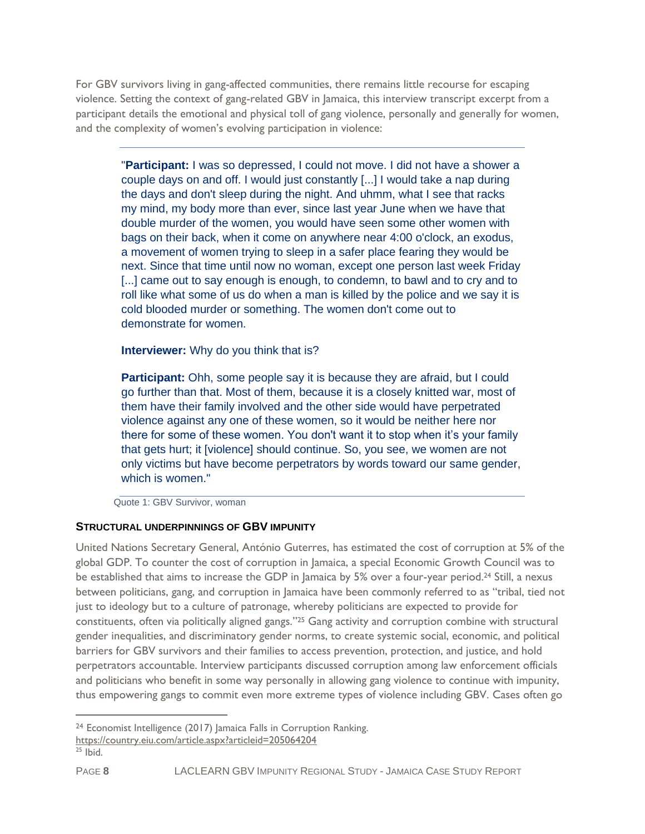For GBV survivors living in gang-affected communities, there remains little recourse for escaping violence. Setting the context of gang-related GBV in Jamaica, this interview transcript excerpt from a participant details the emotional and physical toll of gang violence, personally and generally for women, and the complexity of women's evolving participation in violence:

"**Participant:** I was so depressed, I could not move. I did not have a shower a couple days on and off. I would just constantly [...] I would take a nap during the days and don't sleep during the night. And uhmm, what I see that racks my mind, my body more than ever, since last year June when we have that double murder of the women, you would have seen some other women with bags on their back, when it come on anywhere near 4:00 o'clock, an exodus, a movement of women trying to sleep in a safer place fearing they would be next. Since that time until now no woman, except one person last week Friday [...] came out to say enough is enough, to condemn, to bawl and to cry and to roll like what some of us do when a man is killed by the police and we say it is cold blooded murder or something. The women don't come out to demonstrate for women.

**Interviewer:** Why do you think that is?

**Participant:** Ohh, some people say it is because they are afraid, but I could go further than that. Most of them, because it is a closely knitted war, most of them have their family involved and the other side would have perpetrated violence against any one of these women, so it would be neither here nor there for some of these women. You don't want it to stop when it's your family that gets hurt; it [violence] should continue. So, you see, we women are not only victims but have become perpetrators by words toward our same gender, which is women."

Quote 1: GBV Survivor, woman

#### **STRUCTURAL UNDERPINNINGS OF GBV IMPUNITY**

United Nations Secretary General, António Guterres, has estimated the cost of corruption at 5% of the global GDP. To counter the cost of corruption in Jamaica, a special Economic Growth Council was to be established that aims to increase the GDP in Jamaica by 5% over a four-year period.<sup>24</sup> Still, a nexus between politicians, gang, and corruption in Jamaica have been commonly referred to as "tribal, tied not just to ideology but to a culture of patronage, whereby politicians are expected to provide for constituents, often via politically aligned gangs."<sup>25</sup> Gang activity and corruption combine with structural gender inequalities, and discriminatory gender norms, to create systemic social, economic, and political barriers for GBV survivors and their families to access prevention, protection, and justice, and hold perpetrators accountable. Interview participants discussed corruption among law enforcement officials and politicians who benefit in some way personally in allowing gang violence to continue with impunity, thus empowering gangs to commit even more extreme types of violence including GBV. Cases often go

<sup>24</sup> Economist Intelligence (2017) Jamaica Falls in Corruption Ranking. https://country.eiu.com/article.aspx?articleid=205064204

 $25$  Ibid.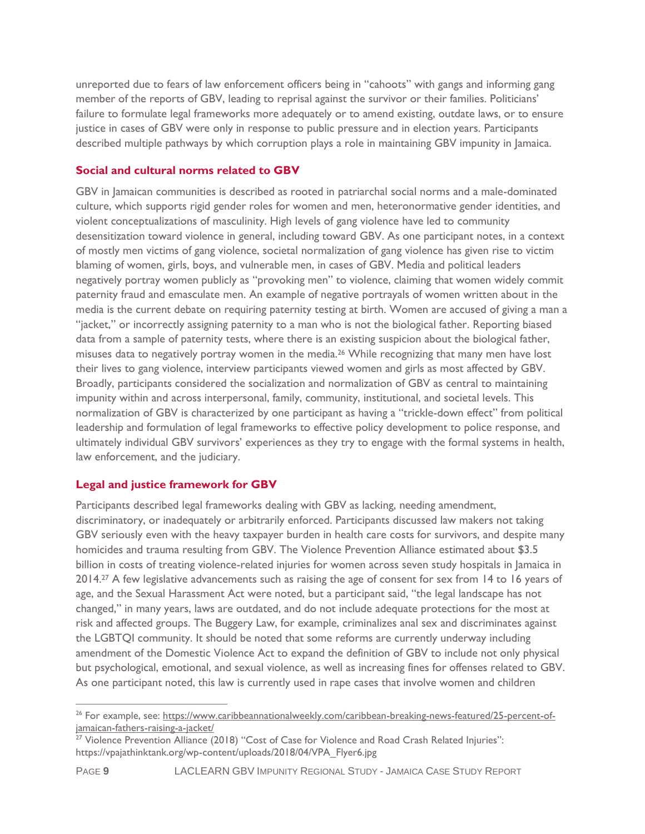unreported due to fears of law enforcement officers being in "cahoots" with gangs and informing gang member of the reports of GBV, leading to reprisal against the survivor or their families. Politicians' failure to formulate legal frameworks more adequately or to amend existing, outdate laws, or to ensure justice in cases of GBV were only in response to public pressure and in election years. Participants described multiple pathways by which corruption plays a role in maintaining GBV impunity in Jamaica.

#### **Social and cultural norms related to GBV**

GBV in Jamaican communities is described as rooted in patriarchal social norms and a male-dominated culture, which supports rigid gender roles for women and men, heteronormative gender identities, and violent conceptualizations of masculinity. High levels of gang violence have led to community desensitization toward violence in general, including toward GBV. As one participant notes, in a context of mostly men victims of gang violence, societal normalization of gang violence has given rise to victim blaming of women, girls, boys, and vulnerable men, in cases of GBV. Media and political leaders negatively portray women publicly as "provoking men" to violence, claiming that women widely commit paternity fraud and emasculate men. An example of negative portrayals of women written about in the media is the current debate on requiring paternity testing at birth. Women are accused of giving a man a "jacket," or incorrectly assigning paternity to a man who is not the biological father. Reporting biased data from a sample of paternity tests, where there is an existing suspicion about the biological father, misuses data to negatively portray women in the media.<sup>26</sup> While recognizing that many men have lost their lives to gang violence, interview participants viewed women and girls as most affected by GBV. Broadly, participants considered the socialization and normalization of GBV as central to maintaining impunity within and across interpersonal, family, community, institutional, and societal levels. This normalization of GBV is characterized by one participant as having a "trickle-down effect" from political leadership and formulation of legal frameworks to effective policy development to police response, and ultimately individual GBV survivors' experiences as they try to engage with the formal systems in health, law enforcement, and the judiciary.

## **Legal and justice framework for GBV**

Participants described legal frameworks dealing with GBV as lacking, needing amendment, discriminatory, or inadequately or arbitrarily enforced. Participants discussed law makers not taking GBV seriously even with the heavy taxpayer burden in health care costs for survivors, and despite many homicides and trauma resulting from GBV. The Violence Prevention Alliance estimated about \$3.5 billion in costs of treating violence-related injuries for women across seven study hospitals in Jamaica in 2014.<sup>27</sup> A few legislative advancements such as raising the age of consent for sex from 14 to 16 years of age, and the Sexual Harassment Act were noted, but a participant said, "the legal landscape has not changed," in many years, laws are outdated, and do not include adequate protections for the most at risk and affected groups. The Buggery Law, for example, criminalizes anal sex and discriminates against the LGBTQI community. It should be noted that some reforms are currently underway including amendment of the Domestic Violence Act to expand the definition of GBV to include not only physical but psychological, emotional, and sexual violence, as well as increasing fines for offenses related to GBV. As one participant noted, this law is currently used in rape cases that involve women and children

<sup>&</sup>lt;sup>26</sup> For example, see: https://www.caribbeannationalweekly.com/caribbean-breaking-news-featured/25-percent-ofjamaican-fathers-raising-a-jacket/

 $27$  Violence Prevention Alliance (2018) "Cost of Case for Violence and Road Crash Related Injuries": https://vpajathinktank.org/wp-content/uploads/2018/04/VPA\_Flyer6.jpg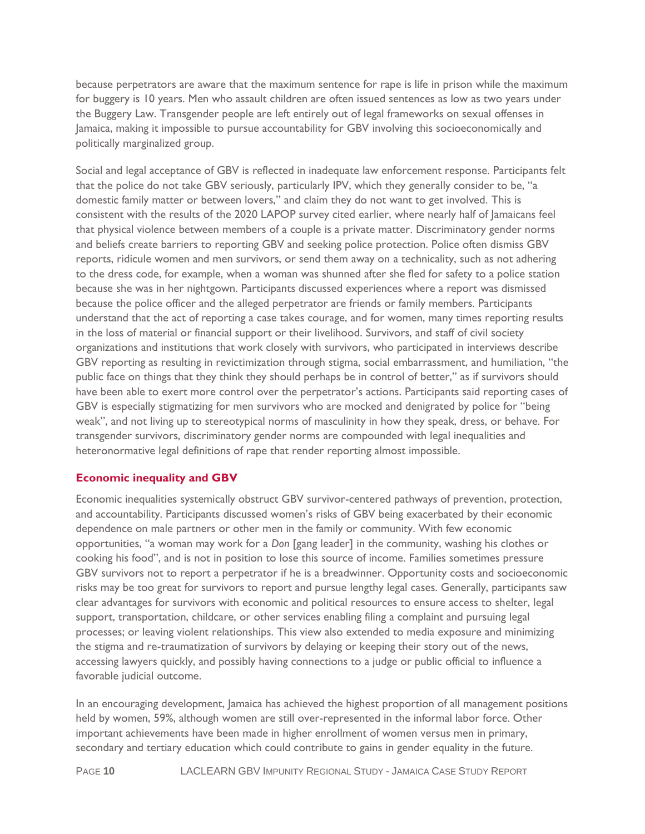because perpetrators are aware that the maximum sentence for rape is life in prison while the maximum for buggery is 10 years. Men who assault children are often issued sentences as low as two years under the Buggery Law. Transgender people are left entirely out of legal frameworks on sexual offenses in Jamaica, making it impossible to pursue accountability for GBV involving this socioeconomically and politically marginalized group.

Social and legal acceptance of GBV is reflected in inadequate law enforcement response. Participants felt that the police do not take GBV seriously, particularly IPV, which they generally consider to be, "a domestic family matter or between lovers," and claim they do not want to get involved. This is consistent with the results of the 2020 LAPOP survey cited earlier, where nearly half of Jamaicans feel that physical violence between members of a couple is a private matter. Discriminatory gender norms and beliefs create barriers to reporting GBV and seeking police protection. Police often dismiss GBV reports, ridicule women and men survivors, or send them away on a technicality, such as not adhering to the dress code, for example, when a woman was shunned after she fled for safety to a police station because she was in her nightgown. Participants discussed experiences where a report was dismissed because the police officer and the alleged perpetrator are friends or family members. Participants understand that the act of reporting a case takes courage, and for women, many times reporting results in the loss of material or financial support or their livelihood. Survivors, and staff of civil society organizations and institutions that work closely with survivors, who participated in interviews describe GBV reporting as resulting in revictimization through stigma, social embarrassment, and humiliation, "the public face on things that they think they should perhaps be in control of better," as if survivors should have been able to exert more control over the perpetrator's actions. Participants said reporting cases of GBV is especially stigmatizing for men survivors who are mocked and denigrated by police for "being weak", and not living up to stereotypical norms of masculinity in how they speak, dress, or behave. For transgender survivors, discriminatory gender norms are compounded with legal inequalities and heteronormative legal definitions of rape that render reporting almost impossible.

#### **Economic inequality and GBV**

Economic inequalities systemically obstruct GBV survivor-centered pathways of prevention, protection, and accountability. Participants discussed women's risks of GBV being exacerbated by their economic dependence on male partners or other men in the family or community. With few economic opportunities, "a woman may work for a *Don* [gang leader] in the community, washing his clothes or cooking his food", and is not in position to lose this source of income. Families sometimes pressure GBV survivors not to report a perpetrator if he is a breadwinner. Opportunity costs and socioeconomic risks may be too great for survivors to report and pursue lengthy legal cases. Generally, participants saw clear advantages for survivors with economic and political resources to ensure access to shelter, legal support, transportation, childcare, or other services enabling filing a complaint and pursuing legal processes; or leaving violent relationships. This view also extended to media exposure and minimizing the stigma and re-traumatization of survivors by delaying or keeping their story out of the news, accessing lawyers quickly, and possibly having connections to a judge or public official to influence a favorable judicial outcome.

In an encouraging development, Jamaica has achieved the highest proportion of all management positions held by women, 59%, although women are still over-represented in the informal labor force. Other important achievements have been made in higher enrollment of women versus men in primary, secondary and tertiary education which could contribute to gains in gender equality in the future.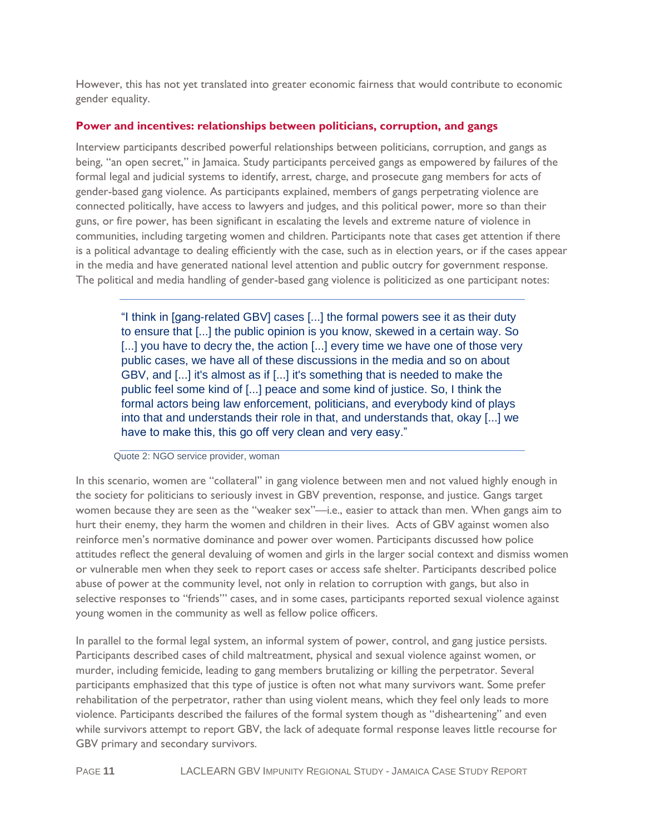However, this has not yet translated into greater economic fairness that would contribute to economic gender equality.

#### **Power and incentives: relationships between politicians, corruption, and gangs**

Interview participants described powerful relationships between politicians, corruption, and gangs as being, "an open secret," in Jamaica. Study participants perceived gangs as empowered by failures of the formal legal and judicial systems to identify, arrest, charge, and prosecute gang members for acts of gender-based gang violence. As participants explained, members of gangs perpetrating violence are connected politically, have access to lawyers and judges, and this political power, more so than their guns, or fire power, has been significant in escalating the levels and extreme nature of violence in communities, including targeting women and children. Participants note that cases get attention if there is a political advantage to dealing efficiently with the case, such as in election years, or if the cases appear in the media and have generated national level attention and public outcry for government response. The political and media handling of gender-based gang violence is politicized as one participant notes:

"I think in [gang-related GBV] cases [...] the formal powers see it as their duty to ensure that [...] the public opinion is you know, skewed in a certain way. So [...] you have to decry the, the action [...] every time we have one of those very public cases, we have all of these discussions in the media and so on about GBV, and [...] it's almost as if [...] it's something that is needed to make the public feel some kind of [...] peace and some kind of justice. So, I think the formal actors being law enforcement, politicians, and everybody kind of plays into that and understands their role in that, and understands that, okay [...] we have to make this, this go off very clean and very easy."

#### Quote 2: NGO service provider, woman

In this scenario, women are "collateral" in gang violence between men and not valued highly enough in the society for politicians to seriously invest in GBV prevention, response, and justice. Gangs target women because they are seen as the "weaker sex"—i.e., easier to attack than men. When gangs aim to hurt their enemy, they harm the women and children in their lives. Acts of GBV against women also reinforce men's normative dominance and power over women. Participants discussed how police attitudes reflect the general devaluing of women and girls in the larger social context and dismiss women or vulnerable men when they seek to report cases or access safe shelter. Participants described police abuse of power at the community level, not only in relation to corruption with gangs, but also in selective responses to "friends'" cases, and in some cases, participants reported sexual violence against young women in the community as well as fellow police officers.

In parallel to the formal legal system, an informal system of power, control, and gang justice persists. Participants described cases of child maltreatment, physical and sexual violence against women, or murder, including femicide, leading to gang members brutalizing or killing the perpetrator. Several participants emphasized that this type of justice is often not what many survivors want. Some prefer rehabilitation of the perpetrator, rather than using violent means, which they feel only leads to more violence. Participants described the failures of the formal system though as "disheartening" and even while survivors attempt to report GBV, the lack of adequate formal response leaves little recourse for GBV primary and secondary survivors.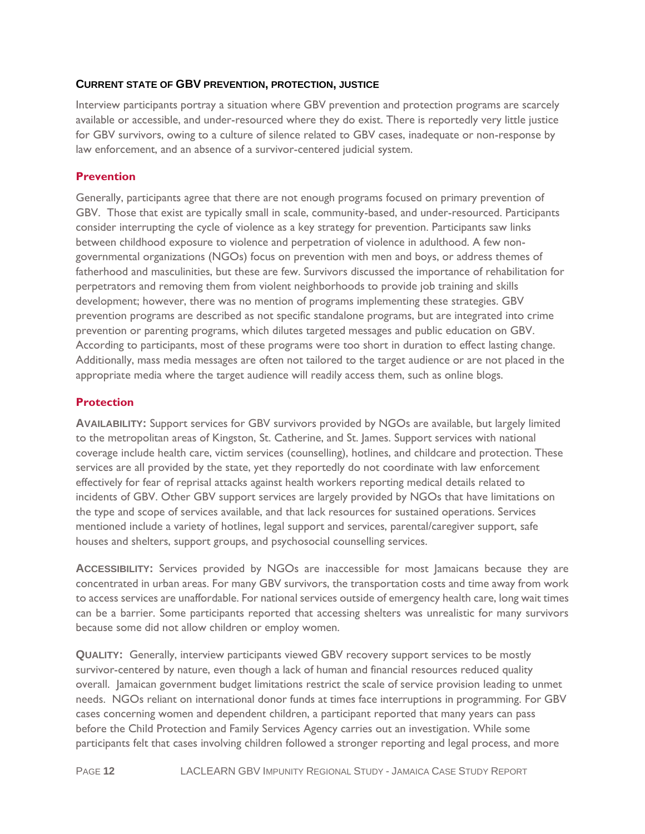#### **CURRENT STATE OF GBV PREVENTION, PROTECTION, JUSTICE**

Interview participants portray a situation where GBV prevention and protection programs are scarcely available or accessible, and under-resourced where they do exist. There is reportedly very little justice for GBV survivors, owing to a culture of silence related to GBV cases, inadequate or non-response by law enforcement, and an absence of a survivor-centered judicial system.

#### **Prevention**

Generally, participants agree that there are not enough programs focused on primary prevention of GBV. Those that exist are typically small in scale, community-based, and under-resourced. Participants consider interrupting the cycle of violence as a key strategy for prevention. Participants saw links between childhood exposure to violence and perpetration of violence in adulthood. A few nongovernmental organizations (NGOs) focus on prevention with men and boys, or address themes of fatherhood and masculinities, but these are few. Survivors discussed the importance of rehabilitation for perpetrators and removing them from violent neighborhoods to provide job training and skills development; however, there was no mention of programs implementing these strategies. GBV prevention programs are described as not specific standalone programs, but are integrated into crime prevention or parenting programs, which dilutes targeted messages and public education on GBV. According to participants, most of these programs were too short in duration to effect lasting change. Additionally, mass media messages are often not tailored to the target audience or are not placed in the appropriate media where the target audience will readily access them, such as online blogs.

#### **Protection**

**AVAILABILITY:** Support services for GBV survivors provided by NGOs are available, but largely limited to the metropolitan areas of Kingston, St. Catherine, and St. James. Support services with national coverage include health care, victim services (counselling), hotlines, and childcare and protection. These services are all provided by the state, yet they reportedly do not coordinate with law enforcement effectively for fear of reprisal attacks against health workers reporting medical details related to incidents of GBV. Other GBV support services are largely provided by NGOs that have limitations on the type and scope of services available, and that lack resources for sustained operations. Services mentioned include a variety of hotlines, legal support and services, parental/caregiver support, safe houses and shelters, support groups, and psychosocial counselling services.

**ACCESSIBILITY:** Services provided by NGOs are inaccessible for most Jamaicans because they are concentrated in urban areas. For many GBV survivors, the transportation costs and time away from work to access services are unaffordable. For national services outside of emergency health care, long wait times can be a barrier. Some participants reported that accessing shelters was unrealistic for many survivors because some did not allow children or employ women.

**QUALITY:** Generally, interview participants viewed GBV recovery support services to be mostly survivor-centered by nature, even though a lack of human and financial resources reduced quality overall. Jamaican government budget limitations restrict the scale of service provision leading to unmet needs. NGOs reliant on international donor funds at times face interruptions in programming. For GBV cases concerning women and dependent children, a participant reported that many years can pass before the Child Protection and Family Services Agency carries out an investigation. While some participants felt that cases involving children followed a stronger reporting and legal process, and more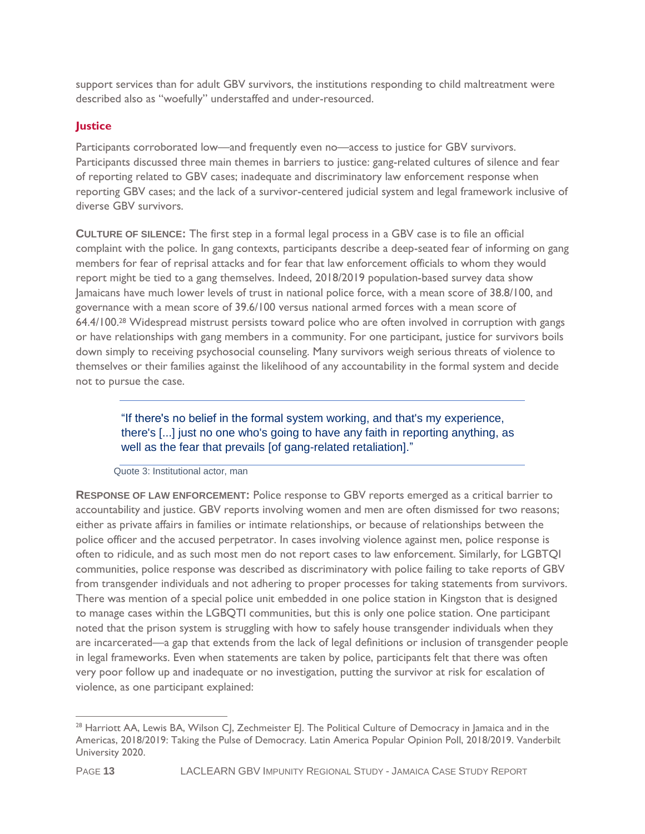support services than for adult GBV survivors, the institutions responding to child maltreatment were described also as "woefully" understaffed and under-resourced.

#### **Justice**

Participants corroborated low—and frequently even no—access to justice for GBV survivors. Participants discussed three main themes in barriers to justice: gang-related cultures of silence and fear of reporting related to GBV cases; inadequate and discriminatory law enforcement response when reporting GBV cases; and the lack of a survivor-centered judicial system and legal framework inclusive of diverse GBV survivors.

**CULTURE OF SILENCE:** The first step in a formal legal process in a GBV case is to file an official complaint with the police. In gang contexts, participants describe a deep-seated fear of informing on gang members for fear of reprisal attacks and for fear that law enforcement officials to whom they would report might be tied to a gang themselves. Indeed, 2018/2019 population-based survey data show Jamaicans have much lower levels of trust in national police force, with a mean score of 38.8/100, and governance with a mean score of 39.6/100 versus national armed forces with a mean score of 64.4/100.<sup>28</sup> Widespread mistrust persists toward police who are often involved in corruption with gangs or have relationships with gang members in a community. For one participant, justice for survivors boils down simply to receiving psychosocial counseling. Many survivors weigh serious threats of violence to themselves or their families against the likelihood of any accountability in the formal system and decide not to pursue the case.

"If there's no belief in the formal system working, and that's my experience, there's [...] just no one who's going to have any faith in reporting anything, as well as the fear that prevails [of gang-related retaliation]."

Quote 3: Institutional actor, man

**RESPONSE OF LAW ENFORCEMENT:** Police response to GBV reports emerged as a critical barrier to accountability and justice. GBV reports involving women and men are often dismissed for two reasons; either as private affairs in families or intimate relationships, or because of relationships between the police officer and the accused perpetrator. In cases involving violence against men, police response is often to ridicule, and as such most men do not report cases to law enforcement. Similarly, for LGBTQI communities, police response was described as discriminatory with police failing to take reports of GBV from transgender individuals and not adhering to proper processes for taking statements from survivors. There was mention of a special police unit embedded in one police station in Kingston that is designed to manage cases within the LGBQTI communities, but this is only one police station. One participant noted that the prison system is struggling with how to safely house transgender individuals when they are incarcerated—a gap that extends from the lack of legal definitions or inclusion of transgender people in legal frameworks. Even when statements are taken by police, participants felt that there was often very poor follow up and inadequate or no investigation, putting the survivor at risk for escalation of violence, as one participant explained:

<sup>&</sup>lt;sup>28</sup> Harriott AA, Lewis BA, Wilson CJ, Zechmeister EJ. The Political Culture of Democracy in Jamaica and in the Americas, 2018/2019: Taking the Pulse of Democracy. Latin America Popular Opinion Poll, 2018/2019. Vanderbilt University 2020.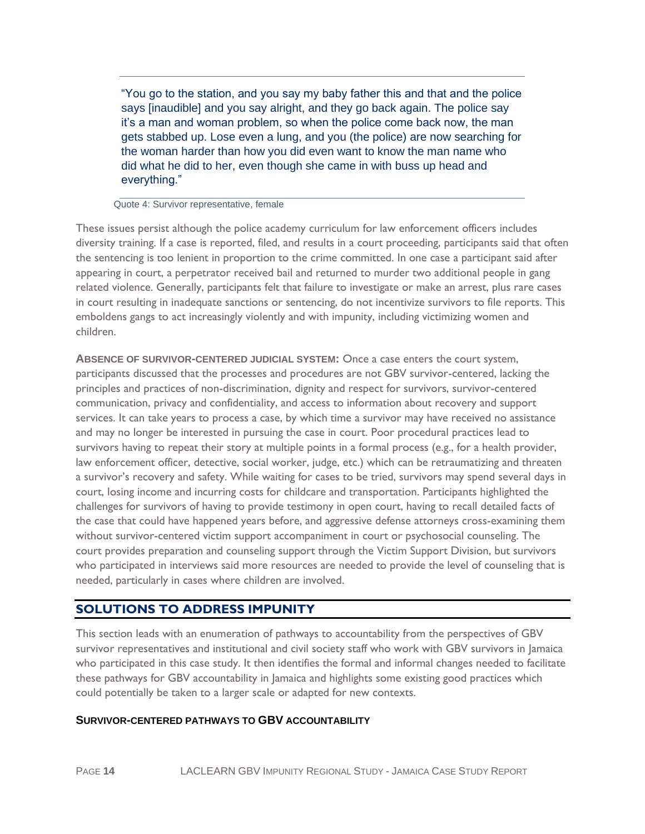"You go to the station, and you say my baby father this and that and the police says [inaudible] and you say alright, and they go back again. The police say it's a man and woman problem, so when the police come back now, the man gets stabbed up. Lose even a lung, and you (the police) are now searching for the woman harder than how you did even want to know the man name who did what he did to her, even though she came in with buss up head and everything."

Quote 4: Survivor representative, female

These issues persist although the police academy curriculum for law enforcement officers includes diversity training. If a case is reported, filed, and results in a court proceeding, participants said that often the sentencing is too lenient in proportion to the crime committed. In one case a participant said after appearing in court, a perpetrator received bail and returned to murder two additional people in gang related violence. Generally, participants felt that failure to investigate or make an arrest, plus rare cases in court resulting in inadequate sanctions or sentencing, do not incentivize survivors to file reports. This emboldens gangs to act increasingly violently and with impunity, including victimizing women and children.

**ABSENCE OF SURVIVOR-CENTERED JUDICIAL SYSTEM:** Once a case enters the court system, participants discussed that the processes and procedures are not GBV survivor-centered, lacking the principles and practices of non-discrimination, dignity and respect for survivors, survivor-centered communication, privacy and confidentiality, and access to information about recovery and support services. It can take years to process a case, by which time a survivor may have received no assistance and may no longer be interested in pursuing the case in court. Poor procedural practices lead to survivors having to repeat their story at multiple points in a formal process (e.g., for a health provider, law enforcement officer, detective, social worker, judge, etc.) which can be retraumatizing and threaten a survivor's recovery and safety. While waiting for cases to be tried, survivors may spend several days in court, losing income and incurring costs for childcare and transportation. Participants highlighted the challenges for survivors of having to provide testimony in open court, having to recall detailed facts of the case that could have happened years before, and aggressive defense attorneys cross-examining them without survivor-centered victim support accompaniment in court or psychosocial counseling. The court provides preparation and counseling support through the Victim Support Division, but survivors who participated in interviews said more resources are needed to provide the level of counseling that is needed, particularly in cases where children are involved.

# <span id="page-19-0"></span>**SOLUTIONS TO ADDRESS IMPUNITY**

This section leads with an enumeration of pathways to accountability from the perspectives of GBV survivor representatives and institutional and civil society staff who work with GBV survivors in Jamaica who participated in this case study. It then identifies the formal and informal changes needed to facilitate these pathways for GBV accountability in Jamaica and highlights some existing good practices which could potentially be taken to a larger scale or adapted for new contexts.

#### **SURVIVOR-CENTERED PATHWAYS TO GBV ACCOUNTABILITY**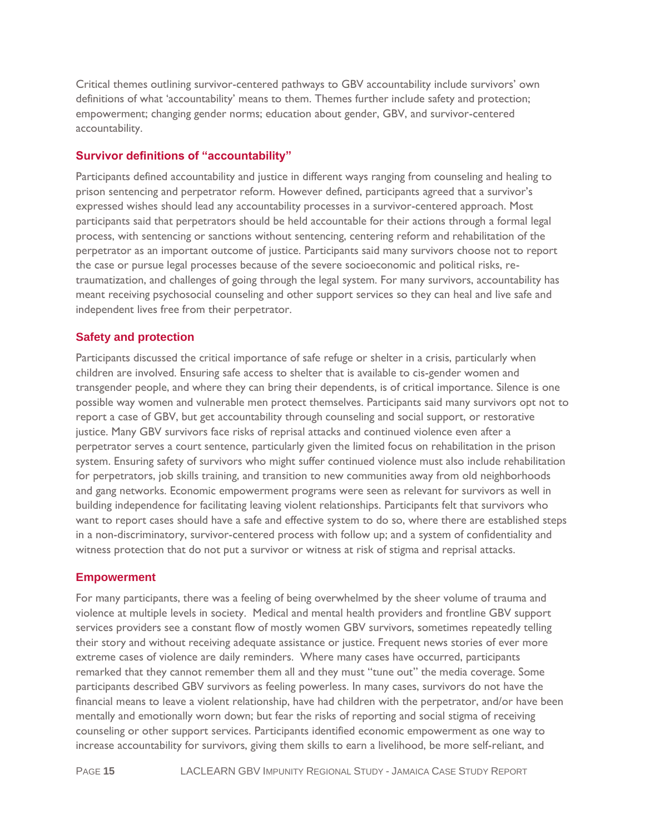Critical themes outlining survivor-centered pathways to GBV accountability include survivors' own definitions of what 'accountability' means to them. Themes further include safety and protection; empowerment; changing gender norms; education about gender, GBV, and survivor-centered accountability.

#### **Survivor definitions of "accountability"**

Participants defined accountability and justice in different ways ranging from counseling and healing to prison sentencing and perpetrator reform. However defined, participants agreed that a survivor's expressed wishes should lead any accountability processes in a survivor-centered approach. Most participants said that perpetrators should be held accountable for their actions through a formal legal process, with sentencing or sanctions without sentencing, centering reform and rehabilitation of the perpetrator as an important outcome of justice. Participants said many survivors choose not to report the case or pursue legal processes because of the severe socioeconomic and political risks, retraumatization, and challenges of going through the legal system. For many survivors, accountability has meant receiving psychosocial counseling and other support services so they can heal and live safe and independent lives free from their perpetrator.

#### **Safety and protection**

Participants discussed the critical importance of safe refuge or shelter in a crisis, particularly when children are involved. Ensuring safe access to shelter that is available to cis-gender women and transgender people, and where they can bring their dependents, is of critical importance. Silence is one possible way women and vulnerable men protect themselves. Participants said many survivors opt not to report a case of GBV, but get accountability through counseling and social support, or restorative justice. Many GBV survivors face risks of reprisal attacks and continued violence even after a perpetrator serves a court sentence, particularly given the limited focus on rehabilitation in the prison system. Ensuring safety of survivors who might suffer continued violence must also include rehabilitation for perpetrators, job skills training, and transition to new communities away from old neighborhoods and gang networks. Economic empowerment programs were seen as relevant for survivors as well in building independence for facilitating leaving violent relationships. Participants felt that survivors who want to report cases should have a safe and effective system to do so, where there are established steps in a non-discriminatory, survivor-centered process with follow up; and a system of confidentiality and witness protection that do not put a survivor or witness at risk of stigma and reprisal attacks.

#### **Empowerment**

For many participants, there was a feeling of being overwhelmed by the sheer volume of trauma and violence at multiple levels in society. Medical and mental health providers and frontline GBV support services providers see a constant flow of mostly women GBV survivors, sometimes repeatedly telling their story and without receiving adequate assistance or justice. Frequent news stories of ever more extreme cases of violence are daily reminders. Where many cases have occurred, participants remarked that they cannot remember them all and they must "tune out" the media coverage. Some participants described GBV survivors as feeling powerless. In many cases, survivors do not have the financial means to leave a violent relationship, have had children with the perpetrator, and/or have been mentally and emotionally worn down; but fear the risks of reporting and social stigma of receiving counseling or other support services. Participants identified economic empowerment as one way to increase accountability for survivors, giving them skills to earn a livelihood, be more self-reliant, and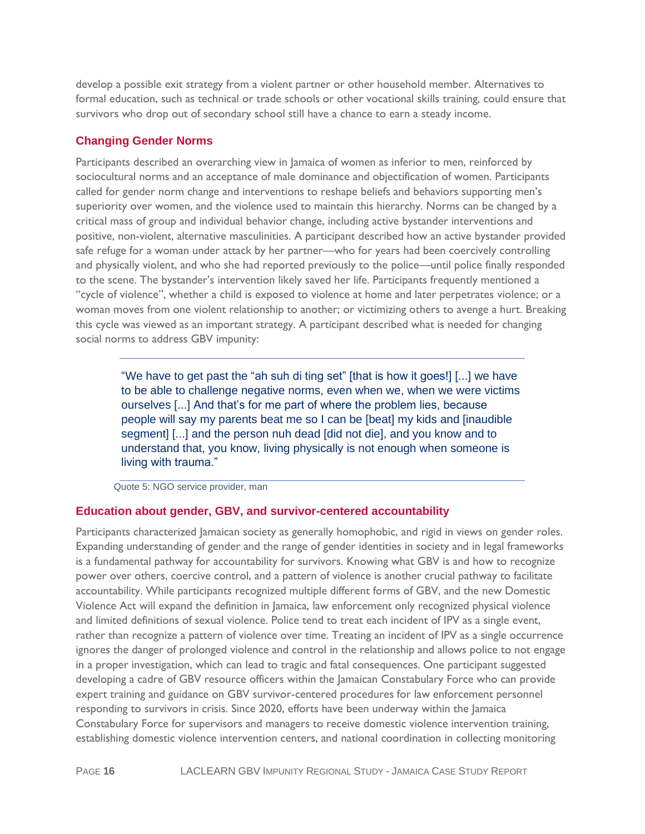develop a possible exit strategy from a violent partner or other household member. Alternatives to formal education, such as technical or trade schools or other vocational skills training, could ensure that survivors who drop out of secondary school still have a chance to earn a steady income.

#### **Changing Gender Norms**

Participants described an overarching view in Jamaica of women as inferior to men, reinforced by sociocultural norms and an acceptance of male dominance and objectification of women. Participants called for gender norm change and interventions to reshape beliefs and behaviors supporting men's superiority over women, and the violence used to maintain this hierarchy. Norms can be changed by a critical mass of group and individual behavior change, including active bystander interventions and positive, non-violent, alternative masculinities. A participant described how an active bystander provided safe refuge for a woman under attack by her partner—who for years had been coercively controlling and physically violent, and who she had reported previously to the police—until police finally responded to the scene. The bystander's intervention likely saved her life. Participants frequently mentioned a "cycle of violence", whether a child is exposed to violence at home and later perpetrates violence; or a woman moves from one violent relationship to another; or victimizing others to avenge a hurt. Breaking this cycle was viewed as an important strategy. A participant described what is needed for changing social norms to address GBV impunity:

"We have to get past the "ah suh di ting set" [that is how it goes!] [...] we have to be able to challenge negative norms, even when we, when we were victims ourselves [...] And that's for me part of where the problem lies, because people will say my parents beat me so I can be [beat] my kids and [inaudible segment] [...] and the person nuh dead [did not die], and you know and to understand that, you know, living physically is not enough when someone is living with trauma."

Quote 5: NGO service provider, man

#### **Education about gender, GBV, and survivor-centered accountability**

Participants characterized Jamaican society as generally homophobic, and rigid in views on gender roles. Expanding understanding of gender and the range of gender identities in society and in legal frameworks is a fundamental pathway for accountability for survivors. Knowing what GBV is and how to recognize power over others, coercive control, and a pattern of violence is another crucial pathway to facilitate accountability. While participants recognized multiple different forms of GBV, and the new Domestic Violence Act will expand the definition in Jamaica, law enforcement only recognized physical violence and limited definitions of sexual violence. Police tend to treat each incident of IPV as a single event, rather than recognize a pattern of violence over time. Treating an incident of IPV as a single occurrence ignores the danger of prolonged violence and control in the relationship and allows police to not engage in a proper investigation, which can lead to tragic and fatal consequences. One participant suggested developing a cadre of GBV resource officers within the Jamaican Constabulary Force who can provide expert training and guidance on GBV survivor-centered procedures for law enforcement personnel responding to survivors in crisis. Since 2020, efforts have been underway within the Jamaica Constabulary Force for supervisors and managers to receive domestic violence intervention training, establishing domestic violence intervention centers, and national coordination in collecting monitoring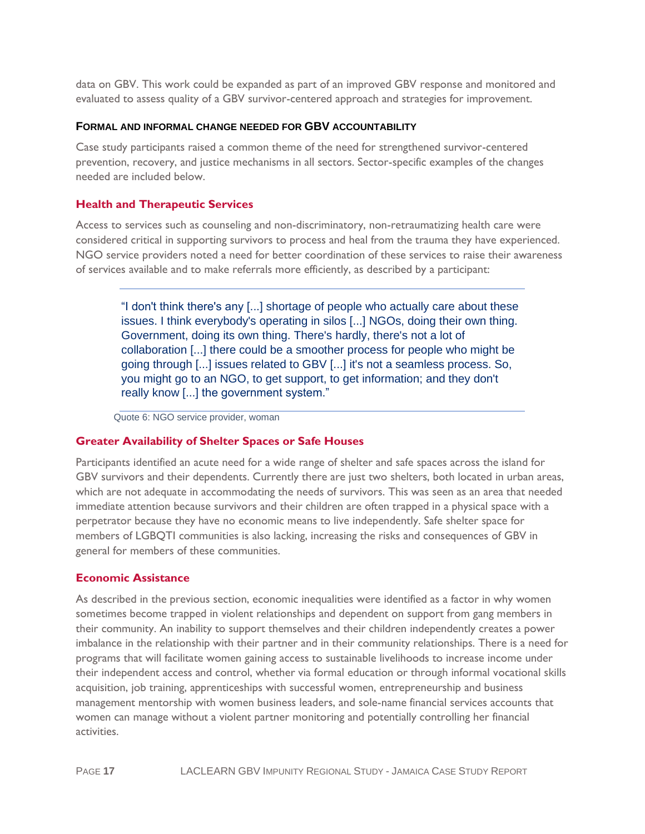data on GBV. This work could be expanded as part of an improved GBV response and monitored and evaluated to assess quality of a GBV survivor-centered approach and strategies for improvement.

#### **FORMAL AND INFORMAL CHANGE NEEDED FOR GBV ACCOUNTABILITY**

Case study participants raised a common theme of the need for strengthened survivor-centered prevention, recovery, and justice mechanisms in all sectors. Sector-specific examples of the changes needed are included below.

#### **Health and Therapeutic Services**

Access to services such as counseling and non-discriminatory, non-retraumatizing health care were considered critical in supporting survivors to process and heal from the trauma they have experienced. NGO service providers noted a need for better coordination of these services to raise their awareness of services available and to make referrals more efficiently, as described by a participant:

"I don't think there's any [...] shortage of people who actually care about these issues. I think everybody's operating in silos [...] NGOs, doing their own thing. Government, doing its own thing. There's hardly, there's not a lot of collaboration [...] there could be a smoother process for people who might be going through [...] issues related to GBV [...] it's not a seamless process. So, you might go to an NGO, to get support, to get information; and they don't really know [...] the government system."

Quote 6: NGO service provider, woman

#### **Greater Availability of Shelter Spaces or Safe Houses**

Participants identified an acute need for a wide range of shelter and safe spaces across the island for GBV survivors and their dependents. Currently there are just two shelters, both located in urban areas, which are not adequate in accommodating the needs of survivors. This was seen as an area that needed immediate attention because survivors and their children are often trapped in a physical space with a perpetrator because they have no economic means to live independently. Safe shelter space for members of LGBQTI communities is also lacking, increasing the risks and consequences of GBV in general for members of these communities.

#### **Economic Assistance**

As described in the previous section, economic inequalities were identified as a factor in why women sometimes become trapped in violent relationships and dependent on support from gang members in their community. An inability to support themselves and their children independently creates a power imbalance in the relationship with their partner and in their community relationships. There is a need for programs that will facilitate women gaining access to sustainable livelihoods to increase income under their independent access and control, whether via formal education or through informal vocational skills acquisition, job training, apprenticeships with successful women, entrepreneurship and business management mentorship with women business leaders, and sole-name financial services accounts that women can manage without a violent partner monitoring and potentially controlling her financial activities.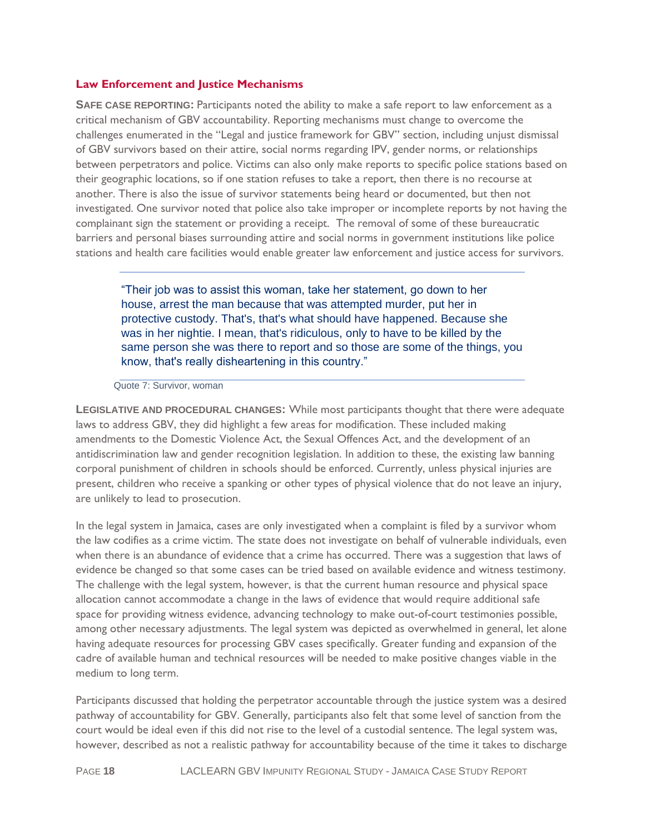#### **Law Enforcement and Justice Mechanisms**

**SAFE CASE REPORTING:** Participants noted the ability to make a safe report to law enforcement as a critical mechanism of GBV accountability. Reporting mechanisms must change to overcome the challenges enumerated in the "Legal and justice framework for GBV" section, including unjust dismissal of GBV survivors based on their attire, social norms regarding IPV, gender norms, or relationships between perpetrators and police. Victims can also only make reports to specific police stations based on their geographic locations, so if one station refuses to take a report, then there is no recourse at another. There is also the issue of survivor statements being heard or documented, but then not investigated. One survivor noted that police also take improper or incomplete reports by not having the complainant sign the statement or providing a receipt. The removal of some of these bureaucratic barriers and personal biases surrounding attire and social norms in government institutions like police stations and health care facilities would enable greater law enforcement and justice access for survivors.

"Their job was to assist this woman, take her statement, go down to her house, arrest the man because that was attempted murder, put her in protective custody. That's, that's what should have happened. Because she was in her nightie. I mean, that's ridiculous, only to have to be killed by the same person she was there to report and so those are some of the things, you know, that's really disheartening in this country."

#### Quote 7: Survivor, woman

**LEGISLATIVE AND PROCEDURAL CHANGES:** While most participants thought that there were adequate laws to address GBV, they did highlight a few areas for modification. These included making amendments to the Domestic Violence Act, the Sexual Offences Act, and the development of an antidiscrimination law and gender recognition legislation. In addition to these, the existing law banning corporal punishment of children in schools should be enforced. Currently, unless physical injuries are present, children who receive a spanking or other types of physical violence that do not leave an injury, are unlikely to lead to prosecution.

In the legal system in Jamaica, cases are only investigated when a complaint is filed by a survivor whom the law codifies as a crime victim. The state does not investigate on behalf of vulnerable individuals, even when there is an abundance of evidence that a crime has occurred. There was a suggestion that laws of evidence be changed so that some cases can be tried based on available evidence and witness testimony. The challenge with the legal system, however, is that the current human resource and physical space allocation cannot accommodate a change in the laws of evidence that would require additional safe space for providing witness evidence, advancing technology to make out-of-court testimonies possible, among other necessary adjustments. The legal system was depicted as overwhelmed in general, let alone having adequate resources for processing GBV cases specifically. Greater funding and expansion of the cadre of available human and technical resources will be needed to make positive changes viable in the medium to long term.

Participants discussed that holding the perpetrator accountable through the justice system was a desired pathway of accountability for GBV. Generally, participants also felt that some level of sanction from the court would be ideal even if this did not rise to the level of a custodial sentence. The legal system was, however, described as not a realistic pathway for accountability because of the time it takes to discharge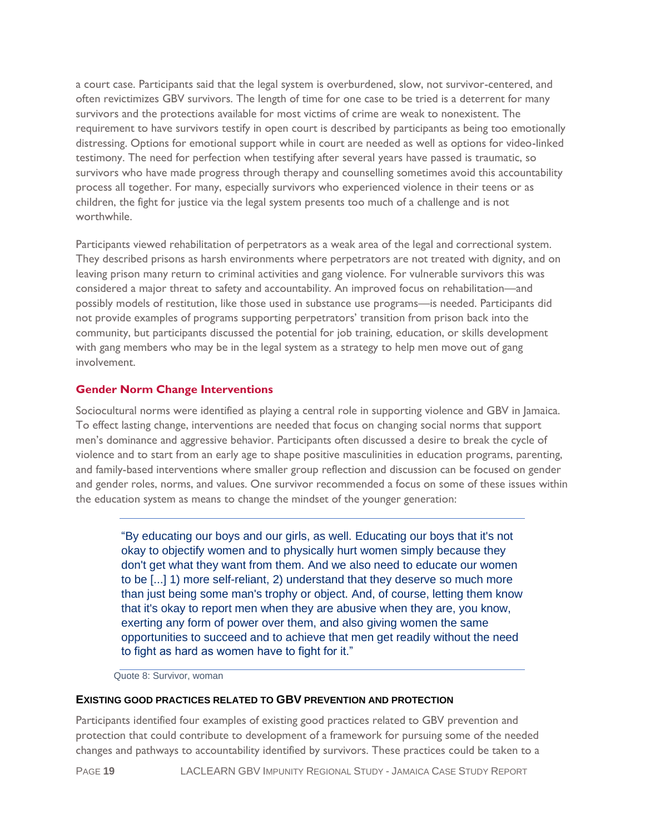a court case. Participants said that the legal system is overburdened, slow, not survivor-centered, and often revictimizes GBV survivors. The length of time for one case to be tried is a deterrent for many survivors and the protections available for most victims of crime are weak to nonexistent. The requirement to have survivors testify in open court is described by participants as being too emotionally distressing. Options for emotional support while in court are needed as well as options for video-linked testimony. The need for perfection when testifying after several years have passed is traumatic, so survivors who have made progress through therapy and counselling sometimes avoid this accountability process all together. For many, especially survivors who experienced violence in their teens or as children, the fight for justice via the legal system presents too much of a challenge and is not worthwhile.

Participants viewed rehabilitation of perpetrators as a weak area of the legal and correctional system. They described prisons as harsh environments where perpetrators are not treated with dignity, and on leaving prison many return to criminal activities and gang violence. For vulnerable survivors this was considered a major threat to safety and accountability. An improved focus on rehabilitation—and possibly models of restitution, like those used in substance use programs—is needed. Participants did not provide examples of programs supporting perpetrators' transition from prison back into the community, but participants discussed the potential for job training, education, or skills development with gang members who may be in the legal system as a strategy to help men move out of gang involvement.

#### **Gender Norm Change Interventions**

Sociocultural norms were identified as playing a central role in supporting violence and GBV in Jamaica. To effect lasting change, interventions are needed that focus on changing social norms that support men's dominance and aggressive behavior. Participants often discussed a desire to break the cycle of violence and to start from an early age to shape positive masculinities in education programs, parenting, and family-based interventions where smaller group reflection and discussion can be focused on gender and gender roles, norms, and values. One survivor recommended a focus on some of these issues within the education system as means to change the mindset of the younger generation:

"By educating our boys and our girls, as well. Educating our boys that it's not okay to objectify women and to physically hurt women simply because they don't get what they want from them. And we also need to educate our women to be [...] 1) more self-reliant, 2) understand that they deserve so much more than just being some man's trophy or object. And, of course, letting them know that it's okay to report men when they are abusive when they are, you know, exerting any form of power over them, and also giving women the same opportunities to succeed and to achieve that men get readily without the need to fight as hard as women have to fight for it."

Quote 8: Survivor, woman

#### **EXISTING GOOD PRACTICES RELATED TO GBV PREVENTION AND PROTECTION**

Participants identified four examples of existing good practices related to GBV prevention and protection that could contribute to development of a framework for pursuing some of the needed changes and pathways to accountability identified by survivors. These practices could be taken to a

PAGE **19** LACLEARN GBV IMPUNITY REGIONAL STUDY - JAMAICA CASE STUDY REPORT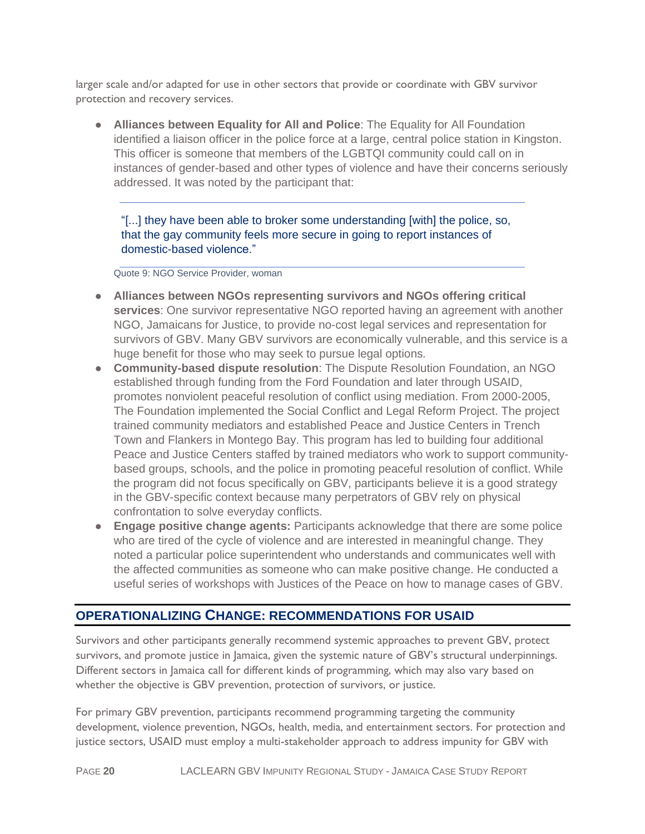larger scale and/or adapted for use in other sectors that provide or coordinate with GBV survivor protection and recovery services.

● **Alliances between Equality for All and Police**: The Equality for All Foundation identified a liaison officer in the police force at a large, central police station in Kingston. This officer is someone that members of the LGBTQI community could call on in instances of gender-based and other types of violence and have their concerns seriously addressed. It was noted by the participant that:

"[...] they have been able to broker some understanding [with] the police, so, that the gay community feels more secure in going to report instances of domestic-based violence."

Quote 9: NGO Service Provider, woman

- **Alliances between NGOs representing survivors and NGOs offering critical services**: One survivor representative NGO reported having an agreement with another NGO, Jamaicans for Justice, to provide no-cost legal services and representation for survivors of GBV. Many GBV survivors are economically vulnerable, and this service is a huge benefit for those who may seek to pursue legal options*.*
- **Community-based dispute resolution**: The Dispute Resolution Foundation, an NGO established through funding from the Ford Foundation and later through USAID, promotes nonviolent peaceful resolution of conflict using mediation. From 2000-2005, The Foundation implemented the Social Conflict and Legal Reform Project. The project trained community mediators and established Peace and Justice Centers in Trench Town and Flankers in Montego Bay. This program has led to building four additional Peace and Justice Centers staffed by trained mediators who work to support communitybased groups, schools, and the police in promoting peaceful resolution of conflict. While the program did not focus specifically on GBV, participants believe it is a good strategy in the GBV-specific context because many perpetrators of GBV rely on physical confrontation to solve everyday conflicts.
- **Engage positive change agents:** Participants acknowledge that there are some police who are tired of the cycle of violence and are interested in meaningful change. They noted a particular police superintendent who understands and communicates well with the affected communities as someone who can make positive change. He conducted a useful series of workshops with Justices of the Peace on how to manage cases of GBV.

# <span id="page-25-0"></span>**OPERATIONALIZING CHANGE: RECOMMENDATIONS FOR USAID**

Survivors and other participants generally recommend systemic approaches to prevent GBV, protect survivors, and promote justice in Jamaica, given the systemic nature of GBV's structural underpinnings. Different sectors in Jamaica call for different kinds of programming, which may also vary based on whether the objective is GBV prevention, protection of survivors, or justice.

For primary GBV prevention, participants recommend programming targeting the community development, violence prevention, NGOs, health, media, and entertainment sectors. For protection and justice sectors, USAID must employ a multi-stakeholder approach to address impunity for GBV with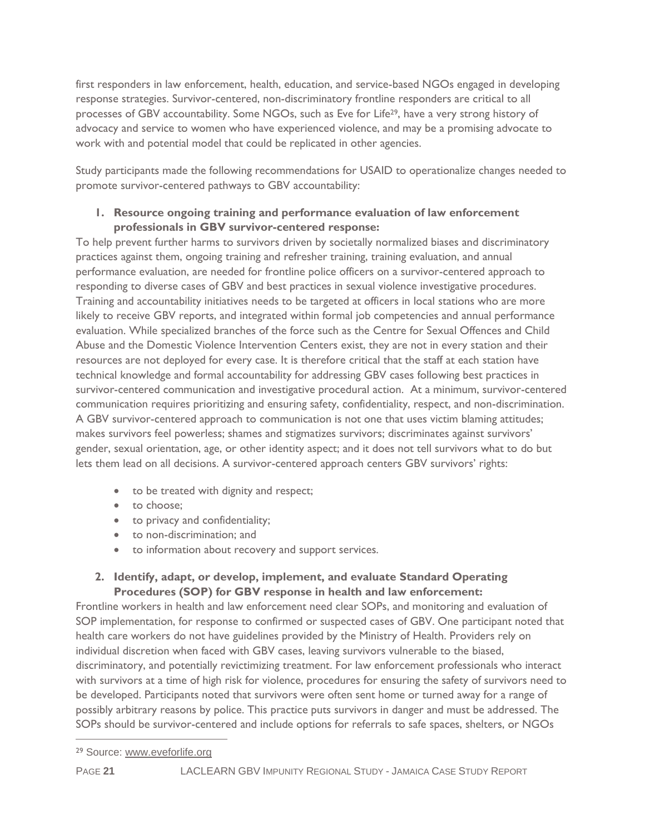first responders in law enforcement, health, education, and service-based NGOs engaged in developing response strategies. Survivor-centered, non-discriminatory frontline responders are critical to all processes of GBV accountability. Some NGOs, such as Eve for Life29, have a very strong history of advocacy and service to women who have experienced violence, and may be a promising advocate to work with and potential model that could be replicated in other agencies.

Study participants made the following recommendations for USAID to operationalize changes needed to promote survivor-centered pathways to GBV accountability:

## **1. Resource ongoing training and performance evaluation of law enforcement professionals in GBV survivor-centered response:**

To help prevent further harms to survivors driven by societally normalized biases and discriminatory practices against them, ongoing training and refresher training, training evaluation, and annual performance evaluation, are needed for frontline police officers on a survivor-centered approach to responding to diverse cases of GBV and best practices in sexual violence investigative procedures. Training and accountability initiatives needs to be targeted at officers in local stations who are more likely to receive GBV reports, and integrated within formal job competencies and annual performance evaluation. While specialized branches of the force such as the Centre for Sexual Offences and Child Abuse and the Domestic Violence Intervention Centers exist, they are not in every station and their resources are not deployed for every case. It is therefore critical that the staff at each station have technical knowledge and formal accountability for addressing GBV cases following best practices in survivor-centered communication and investigative procedural action. At a minimum, survivor-centered communication requires prioritizing and ensuring safety, confidentiality, respect, and non-discrimination. A GBV survivor-centered approach to communication is not one that uses victim blaming attitudes; makes survivors feel powerless; shames and stigmatizes survivors; discriminates against survivors' gender, sexual orientation, age, or other identity aspect; and it does not tell survivors what to do but lets them lead on all decisions. A survivor-centered approach centers GBV survivors' rights:

- to be treated with dignity and respect;
- to choose;
- to privacy and confidentiality;
- to non-discrimination; and
- to information about recovery and support services.

# **2. Identify, adapt, or develop, implement, and evaluate Standard Operating Procedures (SOP) for GBV response in health and law enforcement:**

Frontline workers in health and law enforcement need clear SOPs, and monitoring and evaluation of SOP implementation, for response to confirmed or suspected cases of GBV. One participant noted that health care workers do not have guidelines provided by the Ministry of Health. Providers rely on individual discretion when faced with GBV cases, leaving survivors vulnerable to the biased, discriminatory, and potentially revictimizing treatment. For law enforcement professionals who interact with survivors at a time of high risk for violence, procedures for ensuring the safety of survivors need to be developed. Participants noted that survivors were often sent home or turned away for a range of possibly arbitrary reasons by police. This practice puts survivors in danger and must be addressed. The SOPs should be survivor-centered and include options for referrals to safe spaces, shelters, or NGOs

<sup>29</sup> Source: www.eveforlife.org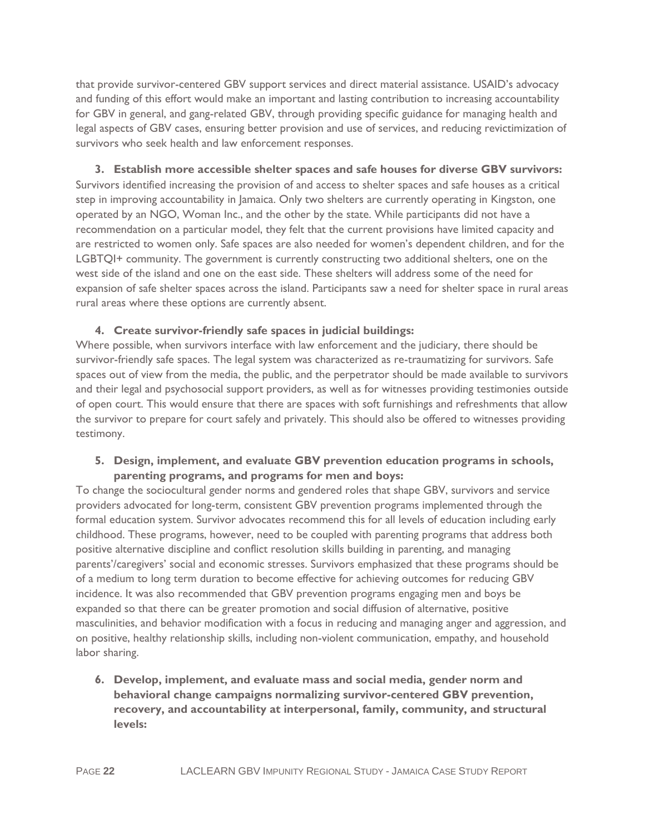that provide survivor-centered GBV support services and direct material assistance. USAID's advocacy and funding of this effort would make an important and lasting contribution to increasing accountability for GBV in general, and gang-related GBV, through providing specific guidance for managing health and legal aspects of GBV cases, ensuring better provision and use of services, and reducing revictimization of survivors who seek health and law enforcement responses.

**3. Establish more accessible shelter spaces and safe houses for diverse GBV survivors:** Survivors identified increasing the provision of and access to shelter spaces and safe houses as a critical step in improving accountability in Jamaica. Only two shelters are currently operating in Kingston, one operated by an NGO, Woman Inc., and the other by the state. While participants did not have a recommendation on a particular model, they felt that the current provisions have limited capacity and are restricted to women only. Safe spaces are also needed for women's dependent children, and for the LGBTQI+ community. The government is currently constructing two additional shelters, one on the west side of the island and one on the east side. These shelters will address some of the need for expansion of safe shelter spaces across the island. Participants saw a need for shelter space in rural areas rural areas where these options are currently absent.

#### **4. Create survivor-friendly safe spaces in judicial buildings:**

Where possible, when survivors interface with law enforcement and the judiciary, there should be survivor-friendly safe spaces. The legal system was characterized as re-traumatizing for survivors. Safe spaces out of view from the media, the public, and the perpetrator should be made available to survivors and their legal and psychosocial support providers, as well as for witnesses providing testimonies outside of open court. This would ensure that there are spaces with soft furnishings and refreshments that allow the survivor to prepare for court safely and privately. This should also be offered to witnesses providing testimony.

#### **5. Design, implement, and evaluate GBV prevention education programs in schools, parenting programs, and programs for men and boys:**

To change the sociocultural gender norms and gendered roles that shape GBV, survivors and service providers advocated for long-term, consistent GBV prevention programs implemented through the formal education system. Survivor advocates recommend this for all levels of education including early childhood. These programs, however, need to be coupled with parenting programs that address both positive alternative discipline and conflict resolution skills building in parenting, and managing parents'/caregivers' social and economic stresses. Survivors emphasized that these programs should be of a medium to long term duration to become effective for achieving outcomes for reducing GBV incidence. It was also recommended that GBV prevention programs engaging men and boys be expanded so that there can be greater promotion and social diffusion of alternative, positive masculinities, and behavior modification with a focus in reducing and managing anger and aggression, and on positive, healthy relationship skills, including non-violent communication, empathy, and household labor sharing.

#### **6. Develop, implement, and evaluate mass and social media, gender norm and behavioral change campaigns normalizing survivor-centered GBV prevention, recovery, and accountability at interpersonal, family, community, and structural levels:**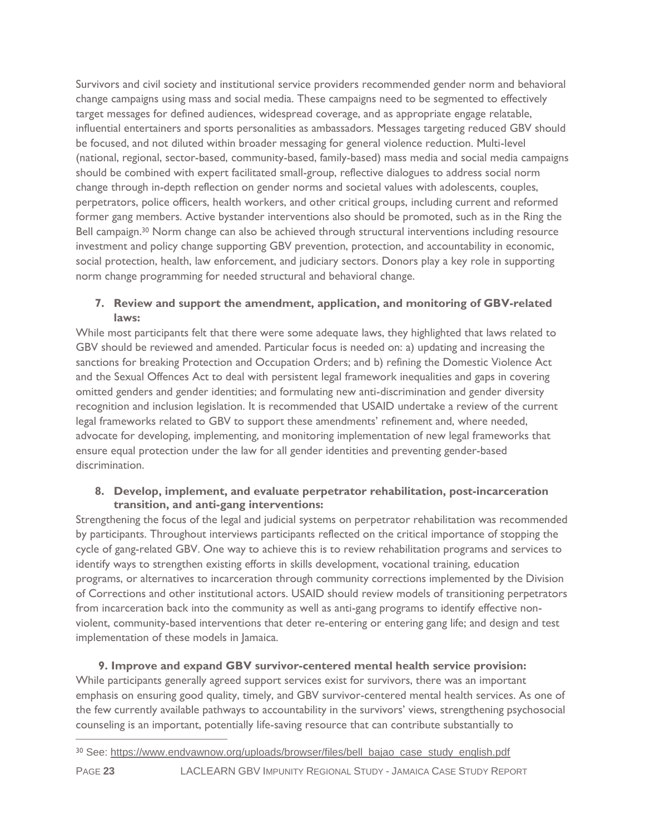Survivors and civil society and institutional service providers recommended gender norm and behavioral change campaigns using mass and social media. These campaigns need to be segmented to effectively target messages for defined audiences, widespread coverage, and as appropriate engage relatable, influential entertainers and sports personalities as ambassadors. Messages targeting reduced GBV should be focused, and not diluted within broader messaging for general violence reduction. Multi-level (national, regional, sector-based, community-based, family-based) mass media and social media campaigns should be combined with expert facilitated small-group, reflective dialogues to address social norm change through in-depth reflection on gender norms and societal values with adolescents, couples, perpetrators, police officers, health workers, and other critical groups, including current and reformed former gang members. Active bystander interventions also should be promoted, such as in the Ring the Bell campaign.<sup>30</sup> Norm change can also be achieved through structural interventions including resource investment and policy change supporting GBV prevention, protection, and accountability in economic, social protection, health, law enforcement, and judiciary sectors. Donors play a key role in supporting norm change programming for needed structural and behavioral change.

# **7. Review and support the amendment, application, and monitoring of GBV-related laws:**

While most participants felt that there were some adequate laws, they highlighted that laws related to GBV should be reviewed and amended. Particular focus is needed on: a) updating and increasing the sanctions for breaking Protection and Occupation Orders; and b) refining the Domestic Violence Act and the Sexual Offences Act to deal with persistent legal framework inequalities and gaps in covering omitted genders and gender identities; and formulating new anti-discrimination and gender diversity recognition and inclusion legislation. It is recommended that USAID undertake a review of the current legal frameworks related to GBV to support these amendments' refinement and, where needed, advocate for developing, implementing, and monitoring implementation of new legal frameworks that ensure equal protection under the law for all gender identities and preventing gender-based discrimination.

#### **8. Develop, implement, and evaluate perpetrator rehabilitation, post-incarceration transition, and anti-gang interventions:**

Strengthening the focus of the legal and judicial systems on perpetrator rehabilitation was recommended by participants. Throughout interviews participants reflected on the critical importance of stopping the cycle of gang-related GBV. One way to achieve this is to review rehabilitation programs and services to identify ways to strengthen existing efforts in skills development, vocational training, education programs, or alternatives to incarceration through community corrections implemented by the Division of Corrections and other institutional actors. USAID should review models of transitioning perpetrators from incarceration back into the community as well as anti-gang programs to identify effective nonviolent, community-based interventions that deter re-entering or entering gang life; and design and test implementation of these models in Jamaica.

# **9. Improve and expand GBV survivor-centered mental health service provision:**

While participants generally agreed support services exist for survivors, there was an important emphasis on ensuring good quality, timely, and GBV survivor-centered mental health services. As one of the few currently available pathways to accountability in the survivors' views, strengthening psychosocial counseling is an important, potentially life-saving resource that can contribute substantially to

<sup>&</sup>lt;sup>30</sup> See: https://www.endvawnow.org/uploads/browser/files/bell\_bajao\_case\_study\_english.pdf